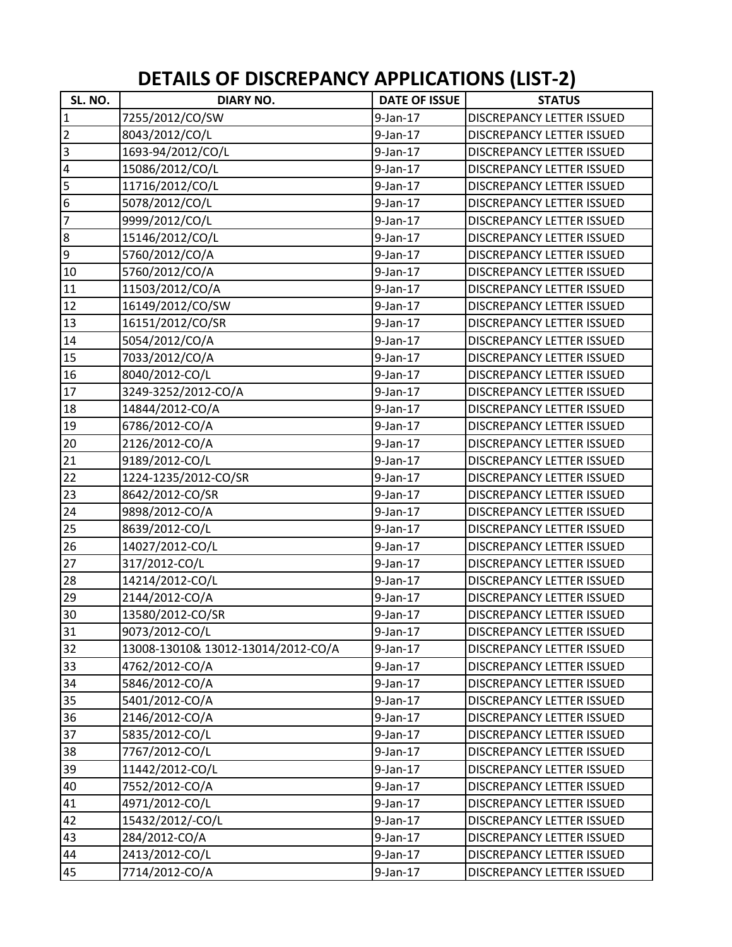| SL. NO.        | <b>DIARY NO.</b>                   | <b>DATE OF ISSUE</b> | <b>STATUS</b>                    |
|----------------|------------------------------------|----------------------|----------------------------------|
| $\mathbf{1}$   | 7255/2012/CO/SW                    | $9$ -Jan-17          | <b>DISCREPANCY LETTER ISSUED</b> |
| $\overline{c}$ | 8043/2012/CO/L                     | $9$ -Jan-17          | DISCREPANCY LETTER ISSUED        |
| $\overline{3}$ | 1693-94/2012/CO/L                  | $9$ -Jan-17          | <b>DISCREPANCY LETTER ISSUED</b> |
| $\overline{a}$ | 15086/2012/CO/L                    | $9$ -Jan-17          | <b>DISCREPANCY LETTER ISSUED</b> |
| $\overline{5}$ | 11716/2012/CO/L                    | $9$ -Jan-17          | DISCREPANCY LETTER ISSUED        |
| $\overline{6}$ | 5078/2012/CO/L                     | $9$ -Jan-17          | DISCREPANCY LETTER ISSUED        |
| $\overline{7}$ | 9999/2012/CO/L                     | $9$ -Jan-17          | DISCREPANCY LETTER ISSUED        |
| $\overline{8}$ | 15146/2012/CO/L                    | $9$ -Jan-17          | <b>DISCREPANCY LETTER ISSUED</b> |
| $\overline{9}$ | 5760/2012/CO/A                     | $9$ -Jan-17          | <b>DISCREPANCY LETTER ISSUED</b> |
| 10             | 5760/2012/CO/A                     | $9$ -Jan-17          | DISCREPANCY LETTER ISSUED        |
| 11             | 11503/2012/CO/A                    | $9$ -Jan-17          | <b>DISCREPANCY LETTER ISSUED</b> |
| 12             | 16149/2012/CO/SW                   | $9$ -Jan-17          | <b>DISCREPANCY LETTER ISSUED</b> |
| 13             | 16151/2012/CO/SR                   | $9$ -Jan-17          | <b>DISCREPANCY LETTER ISSUED</b> |
|                |                                    |                      |                                  |
| 14             | 5054/2012/CO/A                     | $9$ -Jan-17          | DISCREPANCY LETTER ISSUED        |
| 15             | 7033/2012/CO/A                     | $9$ -Jan-17          | <b>DISCREPANCY LETTER ISSUED</b> |
| 16             | 8040/2012-CO/L                     | $9$ -Jan-17          | DISCREPANCY LETTER ISSUED        |
| 17             | 3249-3252/2012-CO/A                | $9$ -Jan-17          | <b>DISCREPANCY LETTER ISSUED</b> |
| 18             | 14844/2012-CO/A                    | $9$ -Jan-17          | <b>DISCREPANCY LETTER ISSUED</b> |
| 19             | 6786/2012-CO/A                     | $9$ -Jan-17          | DISCREPANCY LETTER ISSUED        |
| 20             | 2126/2012-CO/A                     | $9$ -Jan-17          | DISCREPANCY LETTER ISSUED        |
| 21             | 9189/2012-CO/L                     | $9$ -Jan-17          | <b>DISCREPANCY LETTER ISSUED</b> |
| 22             | 1224-1235/2012-CO/SR               | $9$ -Jan-17          | DISCREPANCY LETTER ISSUED        |
| 23             | 8642/2012-CO/SR                    | $9$ -Jan-17          | DISCREPANCY LETTER ISSUED        |
| 24             | 9898/2012-CO/A                     | $9$ -Jan-17          | DISCREPANCY LETTER ISSUED        |
| 25             | 8639/2012-CO/L                     | $9$ -Jan-17          | <b>DISCREPANCY LETTER ISSUED</b> |
| 26             | 14027/2012-CO/L                    | $9$ -Jan-17          | <b>DISCREPANCY LETTER ISSUED</b> |
| 27             | 317/2012-CO/L                      | $9$ -Jan-17          | <b>DISCREPANCY LETTER ISSUED</b> |
| 28             | 14214/2012-CO/L                    | $9$ -Jan-17          | <b>DISCREPANCY LETTER ISSUED</b> |
| 29             | 2144/2012-CO/A                     | $9$ -Jan-17          | <b>DISCREPANCY LETTER ISSUED</b> |
| 30             | 13580/2012-CO/SR                   | $9$ -Jan-17          | <b>DISCREPANCY LETTER ISSUED</b> |
| 31             | 9073/2012-CO/L                     | $9$ -Jan-17          | DISCREPANCY LETTER ISSUED        |
| 32             | 13008-13010& 13012-13014/2012-CO/A | $9$ -Jan-17          | DISCREPANCY LETTER ISSUED        |
| 33             | 4762/2012-CO/A                     | $9$ -Jan-17          | DISCREPANCY LETTER ISSUED        |
| 34             | 5846/2012-CO/A                     | $9$ -Jan-17          | <b>DISCREPANCY LETTER ISSUED</b> |
| 35             | 5401/2012-CO/A                     | $9$ -Jan-17          | DISCREPANCY LETTER ISSUED        |
| 36             | 2146/2012-CO/A                     | $9$ -Jan-17          | DISCREPANCY LETTER ISSUED        |
| 37             | 5835/2012-CO/L                     | $9$ -Jan-17          | DISCREPANCY LETTER ISSUED        |
| 38             | 7767/2012-CO/L                     | $9$ -Jan-17          | DISCREPANCY LETTER ISSUED        |
| 39             | 11442/2012-CO/L                    | $9$ -Jan-17          | DISCREPANCY LETTER ISSUED        |
| 40             | 7552/2012-CO/A                     | $9$ -Jan-17          | DISCREPANCY LETTER ISSUED        |
| 41             | 4971/2012-CO/L                     | $9$ -Jan-17          | DISCREPANCY LETTER ISSUED        |
| 42             | 15432/2012/-CO/L                   | $9$ -Jan-17          | DISCREPANCY LETTER ISSUED        |
| 43             | 284/2012-CO/A                      | $9$ -Jan-17          | DISCREPANCY LETTER ISSUED        |
|                |                                    |                      |                                  |
| 44             | 2413/2012-CO/L                     | $9$ -Jan-17          | DISCREPANCY LETTER ISSUED        |
| 45             | 7714/2012-CO/A                     | $9$ -Jan-17          | DISCREPANCY LETTER ISSUED        |

## **DETAILS OF DISCREPANCY APPLICATIONS (LIST‐2)**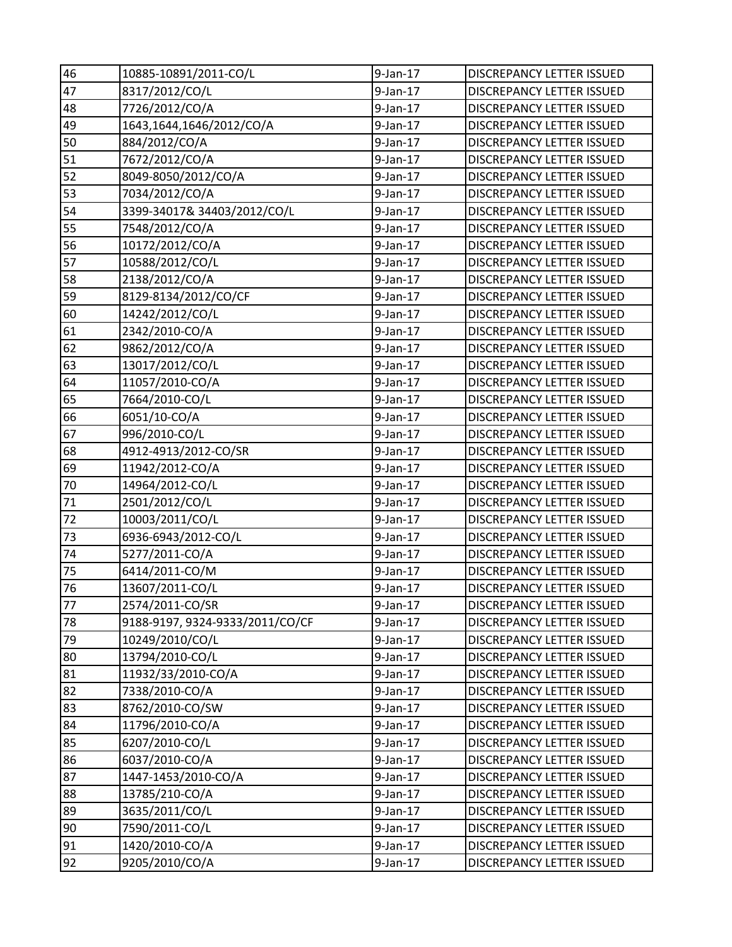| 46 | 10885-10891/2011-CO/L           | $9$ -Jan-17 | <b>DISCREPANCY LETTER ISSUED</b> |
|----|---------------------------------|-------------|----------------------------------|
| 47 | 8317/2012/CO/L                  | $9$ -Jan-17 | DISCREPANCY LETTER ISSUED        |
| 48 | 7726/2012/CO/A                  | $9$ -Jan-17 | DISCREPANCY LETTER ISSUED        |
| 49 | 1643,1644,1646/2012/CO/A        | $9$ -Jan-17 | DISCREPANCY LETTER ISSUED        |
| 50 | 884/2012/CO/A                   | $9$ -Jan-17 | <b>DISCREPANCY LETTER ISSUED</b> |
| 51 | 7672/2012/CO/A                  | $9$ -Jan-17 | DISCREPANCY LETTER ISSUED        |
| 52 | 8049-8050/2012/CO/A             | $9$ -Jan-17 | DISCREPANCY LETTER ISSUED        |
| 53 | 7034/2012/CO/A                  | $9$ -Jan-17 | DISCREPANCY LETTER ISSUED        |
| 54 | 3399-34017& 34403/2012/CO/L     | $9$ -Jan-17 | DISCREPANCY LETTER ISSUED        |
| 55 | 7548/2012/CO/A                  | $9$ -Jan-17 | DISCREPANCY LETTER ISSUED        |
| 56 | 10172/2012/CO/A                 | $9$ -Jan-17 | DISCREPANCY LETTER ISSUED        |
| 57 | 10588/2012/CO/L                 | $9$ -Jan-17 | DISCREPANCY LETTER ISSUED        |
| 58 | 2138/2012/CO/A                  | $9$ -Jan-17 | DISCREPANCY LETTER ISSUED        |
| 59 | 8129-8134/2012/CO/CF            | $9$ -Jan-17 | <b>DISCREPANCY LETTER ISSUED</b> |
| 60 | 14242/2012/CO/L                 | $9$ -Jan-17 | DISCREPANCY LETTER ISSUED        |
| 61 | 2342/2010-CO/A                  | $9$ -Jan-17 | DISCREPANCY LETTER ISSUED        |
| 62 | 9862/2012/CO/A                  | $9$ -Jan-17 | DISCREPANCY LETTER ISSUED        |
| 63 | 13017/2012/CO/L                 | $9$ -Jan-17 | DISCREPANCY LETTER ISSUED        |
| 64 | 11057/2010-CO/A                 | $9$ -Jan-17 | DISCREPANCY LETTER ISSUED        |
| 65 | 7664/2010-CO/L                  | $9$ -Jan-17 | <b>DISCREPANCY LETTER ISSUED</b> |
| 66 | 6051/10-CO/A                    | $9$ -Jan-17 | DISCREPANCY LETTER ISSUED        |
| 67 | 996/2010-CO/L                   | $9$ -Jan-17 | DISCREPANCY LETTER ISSUED        |
| 68 | 4912-4913/2012-CO/SR            | 9-Jan-17    | DISCREPANCY LETTER ISSUED        |
| 69 | 11942/2012-CO/A                 | $9$ -Jan-17 | DISCREPANCY LETTER ISSUED        |
| 70 | 14964/2012-CO/L                 | $9$ -Jan-17 | DISCREPANCY LETTER ISSUED        |
| 71 | 2501/2012/CO/L                  | $9$ -Jan-17 | DISCREPANCY LETTER ISSUED        |
| 72 | 10003/2011/CO/L                 | $9$ -Jan-17 | DISCREPANCY LETTER ISSUED        |
| 73 | 6936-6943/2012-CO/L             | $9$ -Jan-17 | DISCREPANCY LETTER ISSUED        |
| 74 | 5277/2011-CO/A                  | $9$ -Jan-17 | DISCREPANCY LETTER ISSUED        |
| 75 | 6414/2011-CO/M                  | $9$ -Jan-17 | <b>DISCREPANCY LETTER ISSUED</b> |
| 76 | 13607/2011-CO/L                 | $9$ -Jan-17 | DISCREPANCY LETTER ISSUED        |
| 77 | 2574/2011-CO/SR                 | 9-Jan-17    | DISCREPANCY LETTER ISSUED        |
| 78 | 9188-9197, 9324-9333/2011/CO/CF | $9$ -Jan-17 | <b>DISCREPANCY LETTER ISSUED</b> |
| 79 | 10249/2010/CO/L                 | $9$ -Jan-17 | DISCREPANCY LETTER ISSUED        |
| 80 | 13794/2010-CO/L                 | $9$ -Jan-17 | DISCREPANCY LETTER ISSUED        |
| 81 | 11932/33/2010-CO/A              | 9-Jan-17    | DISCREPANCY LETTER ISSUED        |
| 82 | 7338/2010-CO/A                  | $9$ -Jan-17 | DISCREPANCY LETTER ISSUED        |
| 83 | 8762/2010-CO/SW                 | $9$ -Jan-17 | DISCREPANCY LETTER ISSUED        |
| 84 | 11796/2010-CO/A                 | $9$ -Jan-17 | DISCREPANCY LETTER ISSUED        |
| 85 | 6207/2010-CO/L                  | $9$ -Jan-17 | DISCREPANCY LETTER ISSUED        |
| 86 | 6037/2010-CO/A                  | $9$ -Jan-17 | DISCREPANCY LETTER ISSUED        |
| 87 | 1447-1453/2010-CO/A             | $9$ -Jan-17 | DISCREPANCY LETTER ISSUED        |
| 88 | 13785/210-CO/A                  | $9$ -Jan-17 | <b>DISCREPANCY LETTER ISSUED</b> |
| 89 | 3635/2011/CO/L                  | $9$ -Jan-17 | DISCREPANCY LETTER ISSUED        |
| 90 | 7590/2011-CO/L                  | $9$ -Jan-17 | DISCREPANCY LETTER ISSUED        |
| 91 | 1420/2010-CO/A                  | $9$ -Jan-17 | DISCREPANCY LETTER ISSUED        |
| 92 | 9205/2010/CO/A                  | $9$ -Jan-17 | DISCREPANCY LETTER ISSUED        |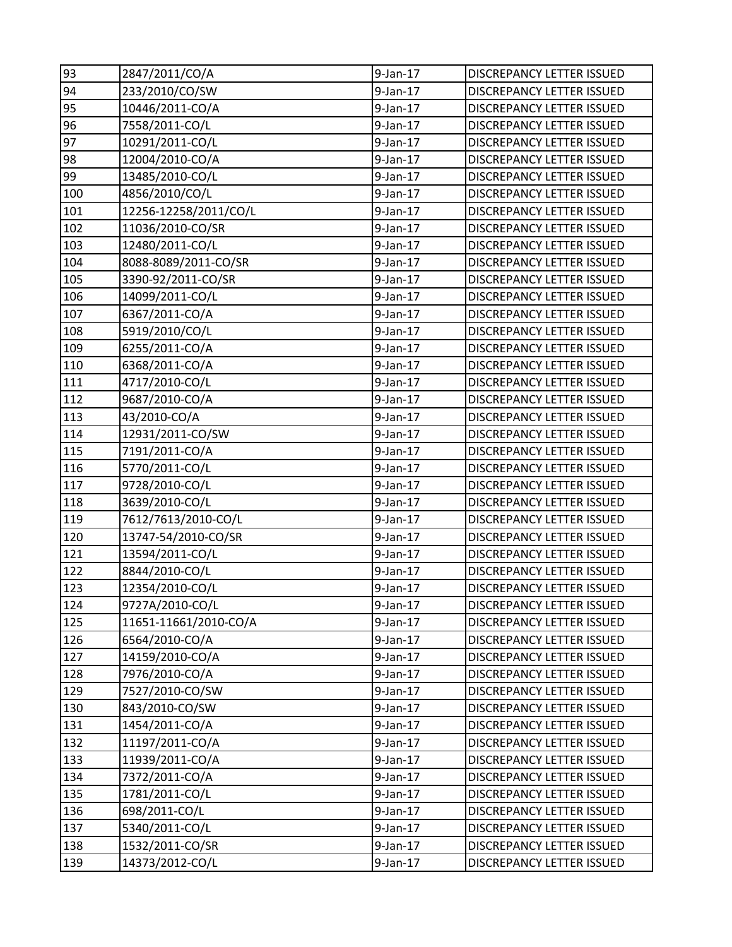| 93  | 2847/2011/CO/A        | $9$ -Jan-17 | <b>DISCREPANCY LETTER ISSUED</b> |
|-----|-----------------------|-------------|----------------------------------|
| 94  | 233/2010/CO/SW        | $9$ -Jan-17 | <b>DISCREPANCY LETTER ISSUED</b> |
| 95  | 10446/2011-CO/A       | $9$ -Jan-17 | <b>DISCREPANCY LETTER ISSUED</b> |
| 96  | 7558/2011-CO/L        | 9-Jan-17    | DISCREPANCY LETTER ISSUED        |
| 97  | 10291/2011-CO/L       | $9$ -Jan-17 | DISCREPANCY LETTER ISSUED        |
| 98  | 12004/2010-CO/A       | $9$ -Jan-17 | DISCREPANCY LETTER ISSUED        |
| 99  | 13485/2010-CO/L       | $9$ -Jan-17 | DISCREPANCY LETTER ISSUED        |
| 100 | 4856/2010/CO/L        | $9$ -Jan-17 | <b>DISCREPANCY LETTER ISSUED</b> |
| 101 | 12256-12258/2011/CO/L | $9$ -Jan-17 | DISCREPANCY LETTER ISSUED        |
| 102 | 11036/2010-CO/SR      | $9$ -Jan-17 | DISCREPANCY LETTER ISSUED        |
| 103 | 12480/2011-CO/L       | 9-Jan-17    | <b>DISCREPANCY LETTER ISSUED</b> |
| 104 | 8088-8089/2011-CO/SR  | 9-Jan-17    | DISCREPANCY LETTER ISSUED        |
| 105 | 3390-92/2011-CO/SR    | $9$ -Jan-17 | DISCREPANCY LETTER ISSUED        |
| 106 | 14099/2011-CO/L       | 9-Jan-17    | DISCREPANCY LETTER ISSUED        |
| 107 | 6367/2011-CO/A        | 9-Jan-17    | DISCREPANCY LETTER ISSUED        |
| 108 | 5919/2010/CO/L        | $9$ -Jan-17 | <b>DISCREPANCY LETTER ISSUED</b> |
| 109 | 6255/2011-CO/A        | 9-Jan-17    | <b>DISCREPANCY LETTER ISSUED</b> |
| 110 | 6368/2011-CO/A        | 9-Jan-17    | DISCREPANCY LETTER ISSUED        |
| 111 | 4717/2010-CO/L        | $9$ -Jan-17 | DISCREPANCY LETTER ISSUED        |
| 112 | 9687/2010-CO/A        | $9$ -Jan-17 | <b>DISCREPANCY LETTER ISSUED</b> |
| 113 | 43/2010-CO/A          | $9$ -Jan-17 | <b>DISCREPANCY LETTER ISSUED</b> |
| 114 | 12931/2011-CO/SW      | 9-Jan-17    | DISCREPANCY LETTER ISSUED        |
| 115 | 7191/2011-CO/A        | 9-Jan-17    | DISCREPANCY LETTER ISSUED        |
| 116 | 5770/2011-CO/L        | 9-Jan-17    | DISCREPANCY LETTER ISSUED        |
| 117 | 9728/2010-CO/L        | 9-Jan-17    | DISCREPANCY LETTER ISSUED        |
| 118 | 3639/2010-CO/L        | $9$ -Jan-17 | <b>DISCREPANCY LETTER ISSUED</b> |
| 119 | 7612/7613/2010-CO/L   | 9-Jan-17    | <b>DISCREPANCY LETTER ISSUED</b> |
| 120 | 13747-54/2010-CO/SR   | 9-Jan-17    | DISCREPANCY LETTER ISSUED        |
| 121 | 13594/2011-CO/L       | $9$ -Jan-17 | DISCREPANCY LETTER ISSUED        |
| 122 | 8844/2010-CO/L        | $9$ -Jan-17 | DISCREPANCY LETTER ISSUED        |
| 123 | 12354/2010-CO/L       | 9-Jan-17    | <b>DISCREPANCY LETTER ISSUED</b> |
| 124 | 9727A/2010-CO/L       | 9-Jan-17    | DISCREPANCY LETTER ISSUED        |
| 125 | 11651-11661/2010-CO/A | $9$ -Jan-17 | <b>DISCREPANCY LETTER ISSUED</b> |
| 126 | 6564/2010-CO/A        | $9$ -Jan-17 | DISCREPANCY LETTER ISSUED        |
| 127 | 14159/2010-CO/A       | 9-Jan-17    | DISCREPANCY LETTER ISSUED        |
| 128 | 7976/2010-CO/A        | 9-Jan-17    | DISCREPANCY LETTER ISSUED        |
| 129 | 7527/2010-CO/SW       | $9$ -Jan-17 | DISCREPANCY LETTER ISSUED        |
| 130 | 843/2010-CO/SW        | $9$ -Jan-17 | DISCREPANCY LETTER ISSUED        |
| 131 | 1454/2011-CO/A        | $9$ -Jan-17 | DISCREPANCY LETTER ISSUED        |
| 132 | 11197/2011-CO/A       | 9-Jan-17    | DISCREPANCY LETTER ISSUED        |
| 133 | 11939/2011-CO/A       | 9-Jan-17    | DISCREPANCY LETTER ISSUED        |
| 134 | 7372/2011-CO/A        | $9$ -Jan-17 | DISCREPANCY LETTER ISSUED        |
| 135 | 1781/2011-CO/L        | $9$ -Jan-17 | <b>DISCREPANCY LETTER ISSUED</b> |
| 136 | 698/2011-CO/L         | $9$ -Jan-17 | <b>DISCREPANCY LETTER ISSUED</b> |
| 137 | 5340/2011-CO/L        | 9-Jan-17    | DISCREPANCY LETTER ISSUED        |
| 138 | 1532/2011-CO/SR       | 9-Jan-17    | DISCREPANCY LETTER ISSUED        |
| 139 | 14373/2012-CO/L       | $9$ -Jan-17 | DISCREPANCY LETTER ISSUED        |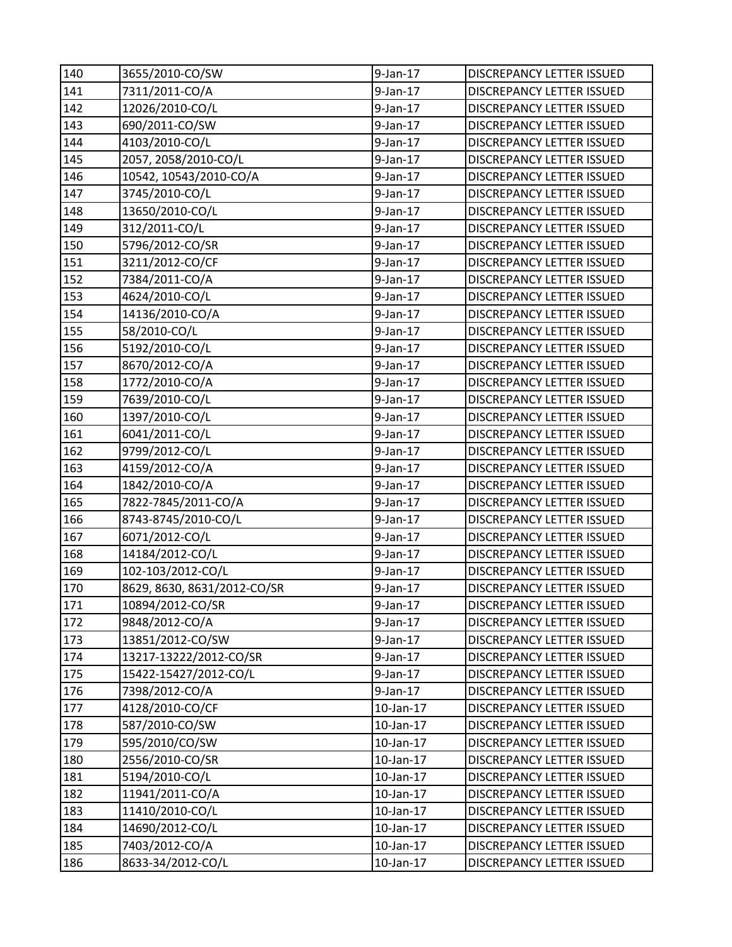| 140 | 3655/2010-CO/SW             | $9$ -Jan-17     | DISCREPANCY LETTER ISSUED        |
|-----|-----------------------------|-----------------|----------------------------------|
| 141 | 7311/2011-CO/A              | $9$ -Jan-17     | <b>DISCREPANCY LETTER ISSUED</b> |
| 142 | 12026/2010-CO/L             | $9$ -Jan-17     | <b>DISCREPANCY LETTER ISSUED</b> |
| 143 | 690/2011-CO/SW              | 9-Jan-17        | DISCREPANCY LETTER ISSUED        |
| 144 | 4103/2010-CO/L              | $9$ -Jan-17     | DISCREPANCY LETTER ISSUED        |
| 145 | 2057, 2058/2010-CO/L        | $9$ -Jan-17     | DISCREPANCY LETTER ISSUED        |
| 146 | 10542, 10543/2010-CO/A      | 9-Jan-17        | DISCREPANCY LETTER ISSUED        |
| 147 | 3745/2010-CO/L              | $9$ -Jan-17     | DISCREPANCY LETTER ISSUED        |
| 148 | 13650/2010-CO/L             | $9$ -Jan-17     | DISCREPANCY LETTER ISSUED        |
| 149 | 312/2011-CO/L               | $9$ -Jan-17     | DISCREPANCY LETTER ISSUED        |
| 150 | 5796/2012-CO/SR             | 9-Jan-17        | DISCREPANCY LETTER ISSUED        |
| 151 | 3211/2012-CO/CF             | 9-Jan-17        | DISCREPANCY LETTER ISSUED        |
| 152 | 7384/2011-CO/A              | $9$ -Jan-17     | DISCREPANCY LETTER ISSUED        |
| 153 | 4624/2010-CO/L              | 9-Jan-17        | <b>DISCREPANCY LETTER ISSUED</b> |
| 154 | 14136/2010-CO/A             | 9-Jan-17        | DISCREPANCY LETTER ISSUED        |
| 155 | 58/2010-CO/L                | $9$ -Jan-17     | DISCREPANCY LETTER ISSUED        |
| 156 | 5192/2010-CO/L              | 9-Jan-17        | DISCREPANCY LETTER ISSUED        |
| 157 | 8670/2012-CO/A              | 9-Jan-17        | DISCREPANCY LETTER ISSUED        |
| 158 | 1772/2010-CO/A              | 9-Jan-17        | DISCREPANCY LETTER ISSUED        |
| 159 | 7639/2010-CO/L              | $9$ -Jan-17     | DISCREPANCY LETTER ISSUED        |
| 160 | 1397/2010-CO/L              | $9$ -Jan-17     | DISCREPANCY LETTER ISSUED        |
| 161 | 6041/2011-CO/L              | 9-Jan-17        | DISCREPANCY LETTER ISSUED        |
| 162 | 9799/2012-CO/L              | $9$ -Jan-17     | DISCREPANCY LETTER ISSUED        |
| 163 | 4159/2012-CO/A              | $9$ -Jan-17     | DISCREPANCY LETTER ISSUED        |
| 164 | 1842/2010-CO/A              | 9-Jan-17        | DISCREPANCY LETTER ISSUED        |
| 165 | 7822-7845/2011-CO/A         | $9$ -Jan-17     | <b>DISCREPANCY LETTER ISSUED</b> |
| 166 | 8743-8745/2010-CO/L         | 9-Jan-17        | DISCREPANCY LETTER ISSUED        |
| 167 | 6071/2012-CO/L              | $9$ -Jan-17     | DISCREPANCY LETTER ISSUED        |
| 168 | 14184/2012-CO/L             | $9$ -Jan-17     | DISCREPANCY LETTER ISSUED        |
| 169 | 102-103/2012-CO/L           | $9$ -Jan-17     | DISCREPANCY LETTER ISSUED        |
| 170 | 8629, 8630, 8631/2012-CO/SR | $9$ -Jan-17     | <b>DISCREPANCY LETTER ISSUED</b> |
| 171 | 10894/2012-CO/SR            | 9-Jan-17        | DISCREPANCY LETTER ISSUED        |
| 172 | 9848/2012-CO/A              | $9$ -Jan-17     | DISCREPANCY LETTER ISSUED        |
| 173 | 13851/2012-CO/SW            | $9$ -Jan-17     | DISCREPANCY LETTER ISSUED        |
| 174 | 13217-13222/2012-CO/SR      | 9-Jan-17        | DISCREPANCY LETTER ISSUED        |
| 175 | 15422-15427/2012-CO/L       | $9$ -Jan-17     | DISCREPANCY LETTER ISSUED        |
| 176 | 7398/2012-CO/A              | 9-Jan-17        | DISCREPANCY LETTER ISSUED        |
| 177 | 4128/2010-CO/CF             | 10-Jan-17       | <b>DISCREPANCY LETTER ISSUED</b> |
| 178 | 587/2010-CO/SW              | 10-Jan-17       | <b>DISCREPANCY LETTER ISSUED</b> |
| 179 | 595/2010/CO/SW              | 10-Jan-17       | DISCREPANCY LETTER ISSUED        |
| 180 | 2556/2010-CO/SR             | $10$ -Jan- $17$ | DISCREPANCY LETTER ISSUED        |
| 181 | 5194/2010-CO/L              | 10-Jan-17       | DISCREPANCY LETTER ISSUED        |
| 182 | 11941/2011-CO/A             | 10-Jan-17       | DISCREPANCY LETTER ISSUED        |
| 183 | 11410/2010-CO/L             | 10-Jan-17       | <b>DISCREPANCY LETTER ISSUED</b> |
| 184 | 14690/2012-CO/L             | 10-Jan-17       | DISCREPANCY LETTER ISSUED        |
| 185 | 7403/2012-CO/A              | 10-Jan-17       | DISCREPANCY LETTER ISSUED        |
| 186 | 8633-34/2012-CO/L           | 10-Jan-17       | DISCREPANCY LETTER ISSUED        |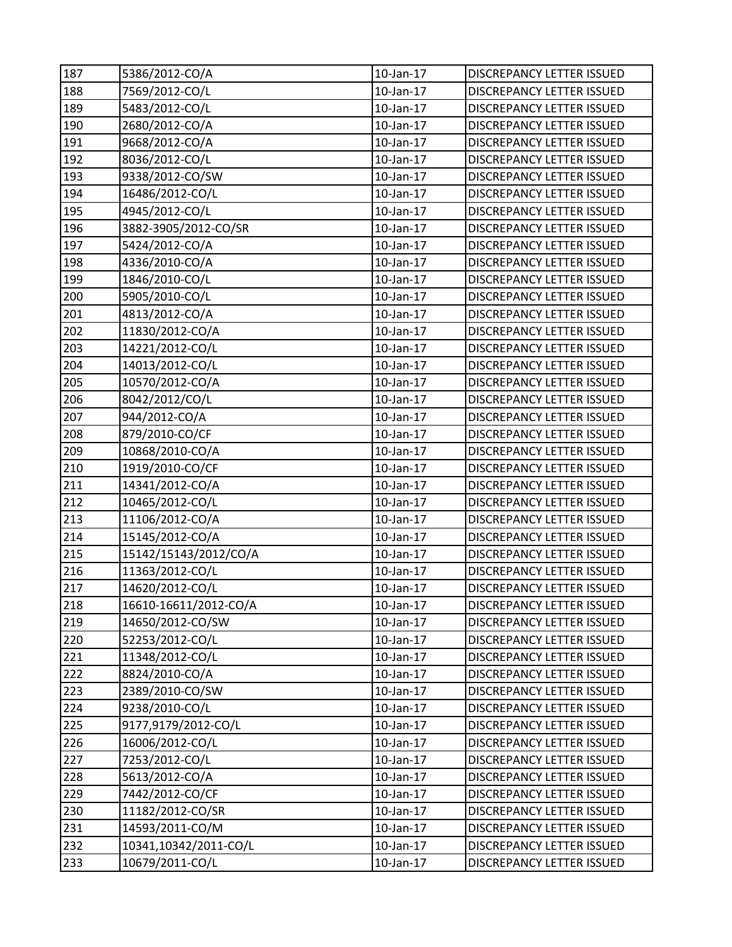| 187 | 5386/2012-CO/A        | 10-Jan-17       | DISCREPANCY LETTER ISSUED        |
|-----|-----------------------|-----------------|----------------------------------|
| 188 | 7569/2012-CO/L        | $10$ -Jan- $17$ | <b>DISCREPANCY LETTER ISSUED</b> |
| 189 | 5483/2012-CO/L        | 10-Jan-17       | <b>DISCREPANCY LETTER ISSUED</b> |
| 190 | 2680/2012-CO/A        | 10-Jan-17       | DISCREPANCY LETTER ISSUED        |
| 191 | 9668/2012-CO/A        | 10-Jan-17       | <b>DISCREPANCY LETTER ISSUED</b> |
| 192 | 8036/2012-CO/L        | 10-Jan-17       | DISCREPANCY LETTER ISSUED        |
| 193 | 9338/2012-CO/SW       | 10-Jan-17       | DISCREPANCY LETTER ISSUED        |
| 194 | 16486/2012-CO/L       | $10$ -Jan- $17$ | DISCREPANCY LETTER ISSUED        |
| 195 | 4945/2012-CO/L        | 10-Jan-17       | DISCREPANCY LETTER ISSUED        |
| 196 | 3882-3905/2012-CO/SR  | $10$ -Jan- $17$ | DISCREPANCY LETTER ISSUED        |
| 197 | 5424/2012-CO/A        | 10-Jan-17       | DISCREPANCY LETTER ISSUED        |
| 198 | 4336/2010-CO/A        | 10-Jan-17       | DISCREPANCY LETTER ISSUED        |
| 199 | 1846/2010-CO/L        | $10$ -Jan- $17$ | DISCREPANCY LETTER ISSUED        |
| 200 | 5905/2010-CO/L        | 10-Jan-17       | DISCREPANCY LETTER ISSUED        |
| 201 | 4813/2012-CO/A        | 10-Jan-17       | DISCREPANCY LETTER ISSUED        |
| 202 | 11830/2012-CO/A       | 10-Jan-17       | <b>DISCREPANCY LETTER ISSUED</b> |
| 203 | 14221/2012-CO/L       | 10-Jan-17       | DISCREPANCY LETTER ISSUED        |
| 204 | 14013/2012-CO/L       | $10$ -Jan- $17$ | DISCREPANCY LETTER ISSUED        |
| 205 | 10570/2012-CO/A       | $10$ -Jan- $17$ | DISCREPANCY LETTER ISSUED        |
| 206 | 8042/2012/CO/L        | 10-Jan-17       | DISCREPANCY LETTER ISSUED        |
| 207 | 944/2012-CO/A         | 10-Jan-17       | DISCREPANCY LETTER ISSUED        |
| 208 | 879/2010-CO/CF        | 10-Jan-17       | DISCREPANCY LETTER ISSUED        |
| 209 | 10868/2010-CO/A       | $10$ -Jan- $17$ | DISCREPANCY LETTER ISSUED        |
| 210 | 1919/2010-CO/CF       | 10-Jan-17       | DISCREPANCY LETTER ISSUED        |
| 211 | 14341/2012-CO/A       | 10-Jan-17       | DISCREPANCY LETTER ISSUED        |
| 212 | 10465/2012-CO/L       | 10-Jan-17       | <b>DISCREPANCY LETTER ISSUED</b> |
| 213 | 11106/2012-CO/A       | 10-Jan-17       | <b>DISCREPANCY LETTER ISSUED</b> |
| 214 | 15145/2012-CO/A       | $10$ -Jan- $17$ | DISCREPANCY LETTER ISSUED        |
| 215 | 15142/15143/2012/CO/A | 10-Jan-17       | DISCREPANCY LETTER ISSUED        |
| 216 | 11363/2012-CO/L       | 10-Jan-17       | <b>DISCREPANCY LETTER ISSUED</b> |
| 217 | 14620/2012-CO/L       | 10-Jan-17       | <b>DISCREPANCY LETTER ISSUED</b> |
| 218 | 16610-16611/2012-CO/A | 10-Jan-17       | DISCREPANCY LETTER ISSUED        |
| 219 | 14650/2012-CO/SW      | 10-Jan-17       | <b>DISCREPANCY LETTER ISSUED</b> |
| 220 | 52253/2012-CO/L       | 10-Jan-17       | DISCREPANCY LETTER ISSUED        |
| 221 | 11348/2012-CO/L       | 10-Jan-17       | DISCREPANCY LETTER ISSUED        |
| 222 | 8824/2010-CO/A        | $10$ -Jan- $17$ | DISCREPANCY LETTER ISSUED        |
| 223 | 2389/2010-CO/SW       | 10-Jan-17       | DISCREPANCY LETTER ISSUED        |
| 224 | 9238/2010-CO/L        | 10-Jan-17       | <b>DISCREPANCY LETTER ISSUED</b> |
| 225 | 9177,9179/2012-CO/L   | 10-Jan-17       | <b>DISCREPANCY LETTER ISSUED</b> |
| 226 | 16006/2012-CO/L       | 10-Jan-17       | DISCREPANCY LETTER ISSUED        |
| 227 | 7253/2012-CO/L        | $10$ -Jan- $17$ | DISCREPANCY LETTER ISSUED        |
| 228 | 5613/2012-CO/A        | 10-Jan-17       | DISCREPANCY LETTER ISSUED        |
| 229 | 7442/2012-CO/CF       | 10-Jan-17       | DISCREPANCY LETTER ISSUED        |
| 230 | 11182/2012-CO/SR      | 10-Jan-17       | <b>DISCREPANCY LETTER ISSUED</b> |
| 231 | 14593/2011-CO/M       | 10-Jan-17       | DISCREPANCY LETTER ISSUED        |
| 232 | 10341,10342/2011-CO/L | $10$ -Jan- $17$ | DISCREPANCY LETTER ISSUED        |
| 233 | 10679/2011-CO/L       | 10-Jan-17       | DISCREPANCY LETTER ISSUED        |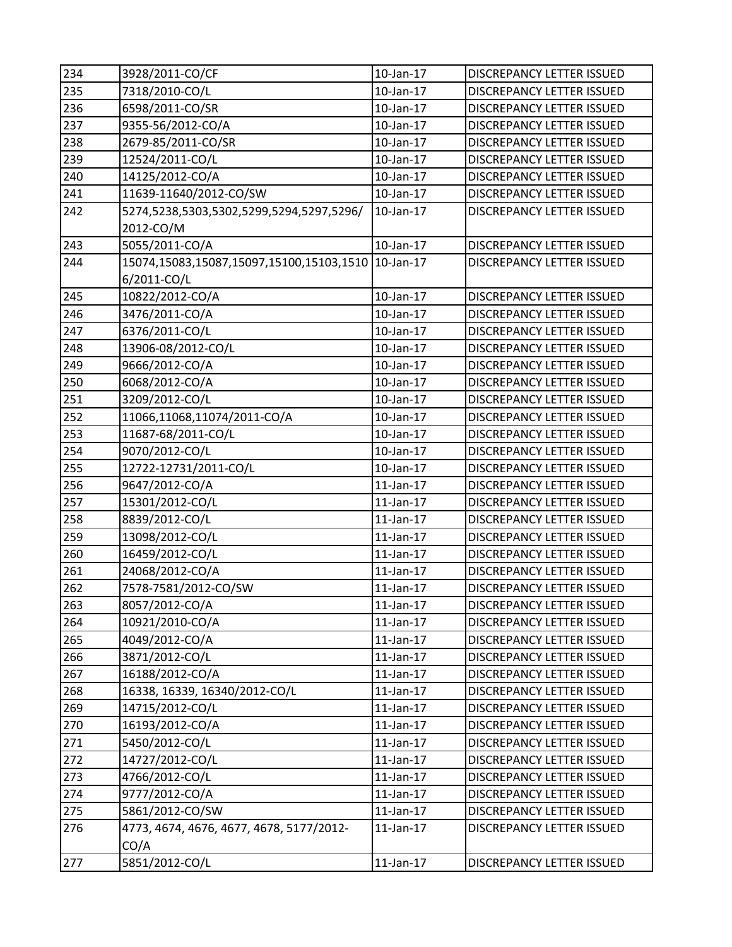| 234 | 3928/2011-CO/CF                                    | 10-Jan-17       | <b>DISCREPANCY LETTER ISSUED</b> |
|-----|----------------------------------------------------|-----------------|----------------------------------|
| 235 | 7318/2010-CO/L                                     | 10-Jan-17       | <b>DISCREPANCY LETTER ISSUED</b> |
| 236 | 6598/2011-CO/SR                                    | 10-Jan-17       | <b>DISCREPANCY LETTER ISSUED</b> |
| 237 | 9355-56/2012-CO/A                                  | 10-Jan-17       | DISCREPANCY LETTER ISSUED        |
| 238 | 2679-85/2011-CO/SR                                 | $10$ -Jan- $17$ | <b>DISCREPANCY LETTER ISSUED</b> |
| 239 | 12524/2011-CO/L                                    | 10-Jan-17       | <b>DISCREPANCY LETTER ISSUED</b> |
| 240 | 14125/2012-CO/A                                    | 10-Jan-17       | <b>DISCREPANCY LETTER ISSUED</b> |
| 241 | 11639-11640/2012-CO/SW                             | $10$ -Jan- $17$ | DISCREPANCY LETTER ISSUED        |
| 242 | 5274,5238,5303,5302,5299,5294,5297,5296/           | 10-Jan-17       | <b>DISCREPANCY LETTER ISSUED</b> |
|     | 2012-CO/M                                          |                 |                                  |
| 243 | 5055/2011-CO/A                                     | 10-Jan-17       | DISCREPANCY LETTER ISSUED        |
| 244 | 15074,15083,15087,15097,15100,15103,1510 10-Jan-17 |                 | DISCREPANCY LETTER ISSUED        |
|     | 6/2011-CO/L                                        |                 |                                  |
| 245 | 10822/2012-CO/A                                    | 10-Jan-17       | DISCREPANCY LETTER ISSUED        |
| 246 | 3476/2011-CO/A                                     | $10$ -Jan- $17$ | DISCREPANCY LETTER ISSUED        |
| 247 | 6376/2011-CO/L                                     | 10-Jan-17       | <b>DISCREPANCY LETTER ISSUED</b> |
| 248 | 13906-08/2012-CO/L                                 | 10-Jan-17       | DISCREPANCY LETTER ISSUED        |
| 249 | 9666/2012-CO/A                                     | 10-Jan-17       | DISCREPANCY LETTER ISSUED        |
| 250 | 6068/2012-CO/A                                     | 10-Jan-17       | <b>DISCREPANCY LETTER ISSUED</b> |
| 251 | 3209/2012-CO/L                                     | 10-Jan-17       | <b>DISCREPANCY LETTER ISSUED</b> |
| 252 | 11066,11068,11074/2011-CO/A                        | 10-Jan-17       | DISCREPANCY LETTER ISSUED        |
| 253 | 11687-68/2011-CO/L                                 | 10-Jan-17       | DISCREPANCY LETTER ISSUED        |
| 254 | 9070/2012-CO/L                                     | $10$ -Jan- $17$ | <b>DISCREPANCY LETTER ISSUED</b> |
| 255 | 12722-12731/2011-CO/L                              | 10-Jan-17       | DISCREPANCY LETTER ISSUED        |
| 256 | 9647/2012-CO/A                                     | $11$ -Jan- $17$ | DISCREPANCY LETTER ISSUED        |
| 257 | 15301/2012-CO/L                                    | $11$ -Jan- $17$ | <b>DISCREPANCY LETTER ISSUED</b> |
| 258 | 8839/2012-CO/L                                     | $11$ -Jan- $17$ | DISCREPANCY LETTER ISSUED        |
| 259 | 13098/2012-CO/L                                    | $11$ -Jan- $17$ | DISCREPANCY LETTER ISSUED        |
| 260 | 16459/2012-CO/L                                    | $11$ -Jan- $17$ | DISCREPANCY LETTER ISSUED        |
| 261 | 24068/2012-CO/A                                    | $11$ -Jan- $17$ | <b>DISCREPANCY LETTER ISSUED</b> |
| 262 | 7578-7581/2012-CO/SW                               | $11$ -Jan- $17$ | <b>DISCREPANCY LETTER ISSUED</b> |
| 263 | 8057/2012-CO/A                                     | 11-Jan-17       | DISCREPANCY LETTER ISSUED        |
| 264 | 10921/2010-CO/A                                    | 11-Jan-17       | <b>DISCREPANCY LETTER ISSUED</b> |
| 265 | 4049/2012-CO/A                                     | $11$ -Jan- $17$ | DISCREPANCY LETTER ISSUED        |
| 266 | 3871/2012-CO/L                                     | $11$ -Jan- $17$ | DISCREPANCY LETTER ISSUED        |
| 267 | 16188/2012-CO/A                                    | 11-Jan-17       | DISCREPANCY LETTER ISSUED        |
| 268 | 16338, 16339, 16340/2012-CO/L                      | $11$ -Jan- $17$ | DISCREPANCY LETTER ISSUED        |
| 269 | 14715/2012-CO/L                                    | 11-Jan-17       | <b>DISCREPANCY LETTER ISSUED</b> |
| 270 | 16193/2012-CO/A                                    | 11-Jan-17       | DISCREPANCY LETTER ISSUED        |
| 271 | 5450/2012-CO/L                                     | 11-Jan-17       | DISCREPANCY LETTER ISSUED        |
| 272 | 14727/2012-CO/L                                    | $11$ -Jan- $17$ | DISCREPANCY LETTER ISSUED        |
| 273 | 4766/2012-CO/L                                     | 11-Jan-17       | DISCREPANCY LETTER ISSUED        |
| 274 | 9777/2012-CO/A                                     | $11$ -Jan- $17$ | DISCREPANCY LETTER ISSUED        |
| 275 | 5861/2012-CO/SW                                    | $11$ -Jan- $17$ | DISCREPANCY LETTER ISSUED        |
| 276 | 4773, 4674, 4676, 4677, 4678, 5177/2012-<br>CO/A   | 11-Jan-17       | DISCREPANCY LETTER ISSUED        |
| 277 | 5851/2012-CO/L                                     | 11-Jan-17       | DISCREPANCY LETTER ISSUED        |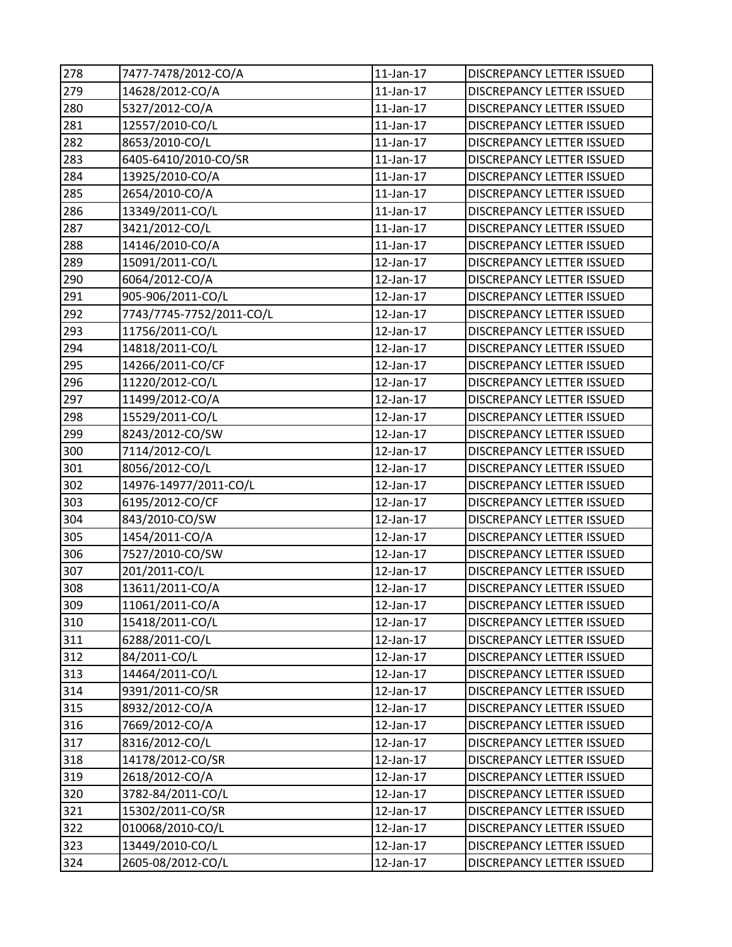| 278 | 7477-7478/2012-CO/A      | $11$ -Jan- $17$ | DISCREPANCY LETTER ISSUED        |
|-----|--------------------------|-----------------|----------------------------------|
| 279 | 14628/2012-CO/A          | 11-Jan-17       | <b>DISCREPANCY LETTER ISSUED</b> |
| 280 | 5327/2012-CO/A           | 11-Jan-17       | DISCREPANCY LETTER ISSUED        |
| 281 | 12557/2010-CO/L          | $11$ -Jan- $17$ | DISCREPANCY LETTER ISSUED        |
| 282 | 8653/2010-CO/L           | $11$ -Jan- $17$ | DISCREPANCY LETTER ISSUED        |
| 283 | 6405-6410/2010-CO/SR     | 11-Jan-17       | DISCREPANCY LETTER ISSUED        |
| 284 | 13925/2010-CO/A          | $11$ -Jan- $17$ | DISCREPANCY LETTER ISSUED        |
| 285 | 2654/2010-CO/A           | $11$ -Jan- $17$ | <b>DISCREPANCY LETTER ISSUED</b> |
| 286 | 13349/2011-CO/L          | $11$ -Jan- $17$ | DISCREPANCY LETTER ISSUED        |
| 287 | 3421/2012-CO/L           | $11$ -Jan- $17$ | DISCREPANCY LETTER ISSUED        |
| 288 | 14146/2010-CO/A          | 11-Jan-17       | DISCREPANCY LETTER ISSUED        |
| 289 | 15091/2011-CO/L          | 12-Jan-17       | DISCREPANCY LETTER ISSUED        |
| 290 | 6064/2012-CO/A           | 12-Jan-17       | DISCREPANCY LETTER ISSUED        |
| 291 | 905-906/2011-CO/L        | 12-Jan-17       | <b>DISCREPANCY LETTER ISSUED</b> |
| 292 | 7743/7745-7752/2011-CO/L | $12$ -Jan- $17$ | DISCREPANCY LETTER ISSUED        |
| 293 | 11756/2011-CO/L          | 12-Jan-17       | <b>DISCREPANCY LETTER ISSUED</b> |
| 294 | 14818/2011-CO/L          | 12-Jan-17       | DISCREPANCY LETTER ISSUED        |
| 295 | 14266/2011-CO/CF         | 12-Jan-17       | DISCREPANCY LETTER ISSUED        |
| 296 | 11220/2012-CO/L          | 12-Jan-17       | DISCREPANCY LETTER ISSUED        |
| 297 | 11499/2012-CO/A          | 12-Jan-17       | DISCREPANCY LETTER ISSUED        |
| 298 | 15529/2011-CO/L          | 12-Jan-17       | DISCREPANCY LETTER ISSUED        |
| 299 | 8243/2012-CO/SW          | 12-Jan-17       | DISCREPANCY LETTER ISSUED        |
| 300 | 7114/2012-CO/L           | 12-Jan-17       | DISCREPANCY LETTER ISSUED        |
| 301 | 8056/2012-CO/L           | 12-Jan-17       | DISCREPANCY LETTER ISSUED        |
| 302 | 14976-14977/2011-CO/L    | 12-Jan-17       | DISCREPANCY LETTER ISSUED        |
| 303 | 6195/2012-CO/CF          | 12-Jan-17       | <b>DISCREPANCY LETTER ISSUED</b> |
| 304 | 843/2010-CO/SW           | 12-Jan-17       | DISCREPANCY LETTER ISSUED        |
| 305 | 1454/2011-CO/A           | 12-Jan-17       | DISCREPANCY LETTER ISSUED        |
| 306 | 7527/2010-CO/SW          | 12-Jan-17       | DISCREPANCY LETTER ISSUED        |
| 307 | 201/2011-CO/L            | $12$ -Jan- $17$ | DISCREPANCY LETTER ISSUED        |
| 308 | 13611/2011-CO/A          | 12-Jan-17       | <b>DISCREPANCY LETTER ISSUED</b> |
| 309 | 11061/2011-CO/A          | 12-Jan-17       | <b>DISCREPANCY LETTER ISSUED</b> |
| 310 | 15418/2011-CO/L          | 12-Jan-17       | DISCREPANCY LETTER ISSUED        |
| 311 | 6288/2011-CO/L           | 12-Jan-17       | DISCREPANCY LETTER ISSUED        |
| 312 | 84/2011-CO/L             | 12-Jan-17       | DISCREPANCY LETTER ISSUED        |
| 313 | 14464/2011-CO/L          | 12-Jan-17       | DISCREPANCY LETTER ISSUED        |
| 314 | 9391/2011-CO/SR          | 12-Jan-17       | DISCREPANCY LETTER ISSUED        |
| 315 | 8932/2012-CO/A           | 12-Jan-17       | <b>DISCREPANCY LETTER ISSUED</b> |
| 316 | 7669/2012-CO/A           | 12-Jan-17       | <b>DISCREPANCY LETTER ISSUED</b> |
| 317 | 8316/2012-CO/L           | 12-Jan-17       | DISCREPANCY LETTER ISSUED        |
| 318 | 14178/2012-CO/SR         | 12-Jan-17       | DISCREPANCY LETTER ISSUED        |
| 319 | 2618/2012-CO/A           | 12-Jan-17       | DISCREPANCY LETTER ISSUED        |
| 320 | 3782-84/2011-CO/L        | 12-Jan-17       | <b>DISCREPANCY LETTER ISSUED</b> |
| 321 | 15302/2011-CO/SR         | 12-Jan-17       | <b>DISCREPANCY LETTER ISSUED</b> |
| 322 | 010068/2010-CO/L         | 12-Jan-17       | DISCREPANCY LETTER ISSUED        |
| 323 | 13449/2010-CO/L          | 12-Jan-17       | DISCREPANCY LETTER ISSUED        |
| 324 | 2605-08/2012-CO/L        | 12-Jan-17       | DISCREPANCY LETTER ISSUED        |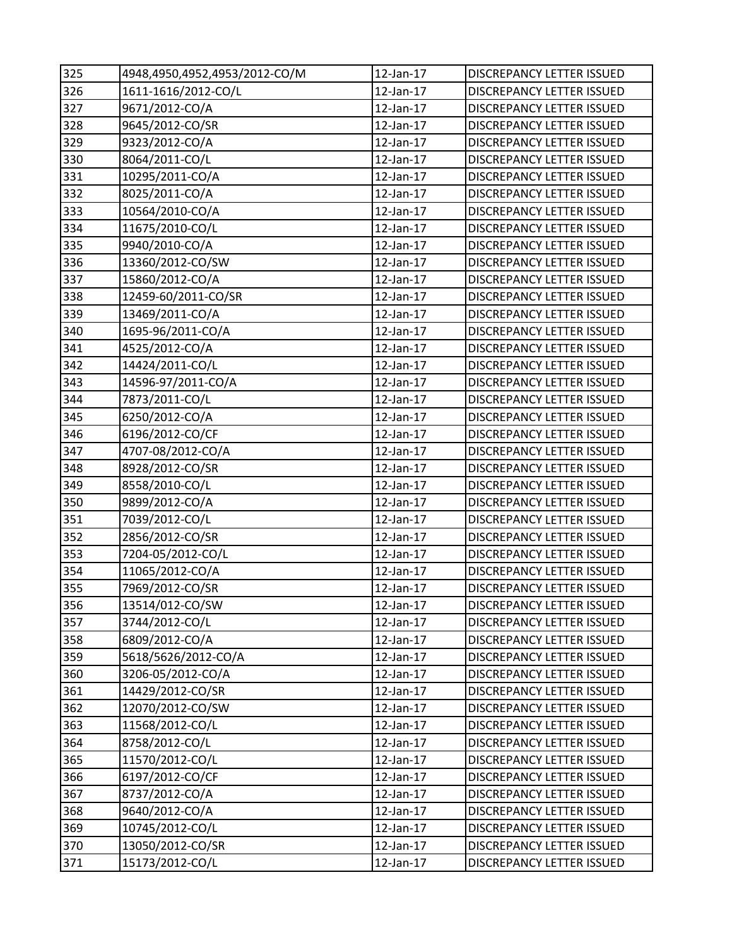| 325 | 4948,4950,4952,4953/2012-CO/M | 12-Jan-17       | DISCREPANCY LETTER ISSUED        |
|-----|-------------------------------|-----------------|----------------------------------|
| 326 | 1611-1616/2012-CO/L           | 12-Jan-17       | <b>DISCREPANCY LETTER ISSUED</b> |
| 327 | 9671/2012-CO/A                | 12-Jan-17       | DISCREPANCY LETTER ISSUED        |
| 328 | 9645/2012-CO/SR               | 12-Jan-17       | DISCREPANCY LETTER ISSUED        |
| 329 | 9323/2012-CO/A                | 12-Jan-17       | <b>DISCREPANCY LETTER ISSUED</b> |
| 330 | 8064/2011-CO/L                | 12-Jan-17       | <b>DISCREPANCY LETTER ISSUED</b> |
| 331 | 10295/2011-CO/A               | 12-Jan-17       | DISCREPANCY LETTER ISSUED        |
| 332 | 8025/2011-CO/A                | 12-Jan-17       | DISCREPANCY LETTER ISSUED        |
| 333 | 10564/2010-CO/A               | 12-Jan-17       | DISCREPANCY LETTER ISSUED        |
| 334 | 11675/2010-CO/L               | 12-Jan-17       | <b>DISCREPANCY LETTER ISSUED</b> |
| 335 | 9940/2010-CO/A                | 12-Jan-17       | <b>DISCREPANCY LETTER ISSUED</b> |
| 336 | 13360/2012-CO/SW              | 12-Jan-17       | DISCREPANCY LETTER ISSUED        |
| 337 | 15860/2012-CO/A               | 12-Jan-17       | DISCREPANCY LETTER ISSUED        |
| 338 | 12459-60/2011-CO/SR           | 12-Jan-17       | DISCREPANCY LETTER ISSUED        |
| 339 | 13469/2011-CO/A               | 12-Jan-17       | DISCREPANCY LETTER ISSUED        |
| 340 | 1695-96/2011-CO/A             | 12-Jan-17       | <b>DISCREPANCY LETTER ISSUED</b> |
| 341 | 4525/2012-CO/A                | 12-Jan-17       | <b>DISCREPANCY LETTER ISSUED</b> |
| 342 | 14424/2011-CO/L               | 12-Jan-17       | DISCREPANCY LETTER ISSUED        |
| 343 | 14596-97/2011-CO/A            | 12-Jan-17       | DISCREPANCY LETTER ISSUED        |
| 344 | 7873/2011-CO/L                | 12-Jan-17       | DISCREPANCY LETTER ISSUED        |
| 345 | 6250/2012-CO/A                | 12-Jan-17       | DISCREPANCY LETTER ISSUED        |
| 346 | 6196/2012-CO/CF               | 12-Jan-17       | DISCREPANCY LETTER ISSUED        |
| 347 | 4707-08/2012-CO/A             | 12-Jan-17       | DISCREPANCY LETTER ISSUED        |
| 348 | 8928/2012-CO/SR               | 12-Jan-17       | DISCREPANCY LETTER ISSUED        |
| 349 | 8558/2010-CO/L                | 12-Jan-17       | DISCREPANCY LETTER ISSUED        |
| 350 | 9899/2012-CO/A                | 12-Jan-17       | <b>DISCREPANCY LETTER ISSUED</b> |
| 351 | 7039/2012-CO/L                | 12-Jan-17       | <b>DISCREPANCY LETTER ISSUED</b> |
| 352 | 2856/2012-CO/SR               | 12-Jan-17       | DISCREPANCY LETTER ISSUED        |
| 353 | 7204-05/2012-CO/L             | 12-Jan-17       | DISCREPANCY LETTER ISSUED        |
| 354 | 11065/2012-CO/A               | $12$ -Jan- $17$ | DISCREPANCY LETTER ISSUED        |
| 355 | 7969/2012-CO/SR               | 12-Jan-17       | DISCREPANCY LETTER ISSUED        |
| 356 | 13514/012-CO/SW               | 12-Jan-17       | DISCREPANCY LETTER ISSUED        |
| 357 | 3744/2012-CO/L                | 12-Jan-17       | DISCREPANCY LETTER ISSUED        |
| 358 | 6809/2012-CO/A                | 12-Jan-17       | DISCREPANCY LETTER ISSUED        |
| 359 | 5618/5626/2012-CO/A           | 12-Jan-17       | DISCREPANCY LETTER ISSUED        |
| 360 | 3206-05/2012-CO/A             | 12-Jan-17       | DISCREPANCY LETTER ISSUED        |
| 361 | 14429/2012-CO/SR              | 12-Jan-17       | DISCREPANCY LETTER ISSUED        |
| 362 | 12070/2012-CO/SW              | 12-Jan-17       | DISCREPANCY LETTER ISSUED        |
| 363 | 11568/2012-CO/L               | 12-Jan-17       | <b>DISCREPANCY LETTER ISSUED</b> |
| 364 | 8758/2012-CO/L                | 12-Jan-17       | DISCREPANCY LETTER ISSUED        |
| 365 | 11570/2012-CO/L               | 12-Jan-17       | DISCREPANCY LETTER ISSUED        |
| 366 | 6197/2012-CO/CF               | 12-Jan-17       | DISCREPANCY LETTER ISSUED        |
| 367 | 8737/2012-CO/A                | 12-Jan-17       | DISCREPANCY LETTER ISSUED        |
| 368 | 9640/2012-CO/A                | 12-Jan-17       | <b>DISCREPANCY LETTER ISSUED</b> |
| 369 | 10745/2012-CO/L               | 12-Jan-17       | DISCREPANCY LETTER ISSUED        |
| 370 | 13050/2012-CO/SR              | 12-Jan-17       | DISCREPANCY LETTER ISSUED        |
| 371 | 15173/2012-CO/L               | 12-Jan-17       | DISCREPANCY LETTER ISSUED        |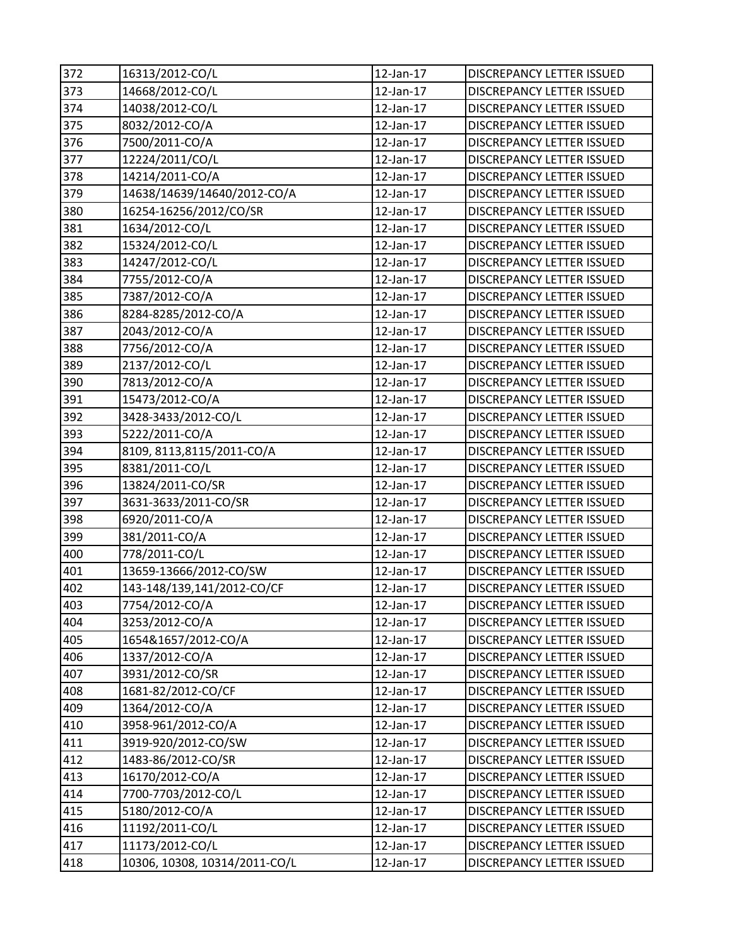| 372 | 16313/2012-CO/L               | 12-Jan-17       | DISCREPANCY LETTER ISSUED        |
|-----|-------------------------------|-----------------|----------------------------------|
| 373 | 14668/2012-CO/L               | $12$ -Jan- $17$ | DISCREPANCY LETTER ISSUED        |
| 374 | 14038/2012-CO/L               | 12-Jan-17       | <b>DISCREPANCY LETTER ISSUED</b> |
| 375 | 8032/2012-CO/A                | 12-Jan-17       | DISCREPANCY LETTER ISSUED        |
| 376 | 7500/2011-CO/A                | 12-Jan-17       | DISCREPANCY LETTER ISSUED        |
| 377 | 12224/2011/CO/L               | 12-Jan-17       | DISCREPANCY LETTER ISSUED        |
| 378 | 14214/2011-CO/A               | 12-Jan-17       | <b>DISCREPANCY LETTER ISSUED</b> |
| 379 | 14638/14639/14640/2012-CO/A   | 12-Jan-17       | DISCREPANCY LETTER ISSUED        |
| 380 | 16254-16256/2012/CO/SR        | 12-Jan-17       | DISCREPANCY LETTER ISSUED        |
| 381 | 1634/2012-CO/L                | 12-Jan-17       | DISCREPANCY LETTER ISSUED        |
| 382 | 15324/2012-CO/L               | 12-Jan-17       | DISCREPANCY LETTER ISSUED        |
| 383 | 14247/2012-CO/L               | 12-Jan-17       | DISCREPANCY LETTER ISSUED        |
| 384 | 7755/2012-CO/A                | 12-Jan-17       | DISCREPANCY LETTER ISSUED        |
| 385 | 7387/2012-CO/A                | 12-Jan-17       | DISCREPANCY LETTER ISSUED        |
| 386 | 8284-8285/2012-CO/A           | $12$ -Jan- $17$ | DISCREPANCY LETTER ISSUED        |
| 387 | 2043/2012-CO/A                | 12-Jan-17       | <b>DISCREPANCY LETTER ISSUED</b> |
| 388 | 7756/2012-CO/A                | 12-Jan-17       | DISCREPANCY LETTER ISSUED        |
| 389 | 2137/2012-CO/L                | 12-Jan-17       | DISCREPANCY LETTER ISSUED        |
| 390 | 7813/2012-CO/A                | 12-Jan-17       | DISCREPANCY LETTER ISSUED        |
| 391 | 15473/2012-CO/A               | 12-Jan-17       | DISCREPANCY LETTER ISSUED        |
| 392 | 3428-3433/2012-CO/L           | 12-Jan-17       | DISCREPANCY LETTER ISSUED        |
| 393 | 5222/2011-CO/A                | 12-Jan-17       | DISCREPANCY LETTER ISSUED        |
| 394 | 8109, 8113, 8115/2011-CO/A    | 12-Jan-17       | DISCREPANCY LETTER ISSUED        |
| 395 | 8381/2011-CO/L                | 12-Jan-17       | DISCREPANCY LETTER ISSUED        |
| 396 | 13824/2011-CO/SR              | 12-Jan-17       | DISCREPANCY LETTER ISSUED        |
| 397 | 3631-3633/2011-CO/SR          | 12-Jan-17       | DISCREPANCY LETTER ISSUED        |
| 398 | 6920/2011-CO/A                | 12-Jan-17       | DISCREPANCY LETTER ISSUED        |
| 399 | 381/2011-CO/A                 | 12-Jan-17       | DISCREPANCY LETTER ISSUED        |
| 400 | 778/2011-CO/L                 | 12-Jan-17       | DISCREPANCY LETTER ISSUED        |
| 401 | 13659-13666/2012-CO/SW        | 12-Jan-17       | <b>DISCREPANCY LETTER ISSUED</b> |
| 402 | 143-148/139,141/2012-CO/CF    | 12-Jan-17       | <b>DISCREPANCY LETTER ISSUED</b> |
| 403 | 7754/2012-CO/A                | 12-Jan-17       | DISCREPANCY LETTER ISSUED        |
| 404 | 3253/2012-CO/A                | 12-Jan-17       | <b>DISCREPANCY LETTER ISSUED</b> |
| 405 | 1654&1657/2012-CO/A           | 12-Jan-17       | DISCREPANCY LETTER ISSUED        |
| 406 | 1337/2012-CO/A                | 12-Jan-17       | DISCREPANCY LETTER ISSUED        |
| 407 | 3931/2012-CO/SR               | 12-Jan-17       | DISCREPANCY LETTER ISSUED        |
| 408 | 1681-82/2012-CO/CF            | 12-Jan-17       | DISCREPANCY LETTER ISSUED        |
| 409 | 1364/2012-CO/A                | 12-Jan-17       | <b>DISCREPANCY LETTER ISSUED</b> |
| 410 | 3958-961/2012-CO/A            | 12-Jan-17       | <b>DISCREPANCY LETTER ISSUED</b> |
| 411 | 3919-920/2012-CO/SW           | 12-Jan-17       | DISCREPANCY LETTER ISSUED        |
| 412 | 1483-86/2012-CO/SR            | 12-Jan-17       | DISCREPANCY LETTER ISSUED        |
| 413 | 16170/2012-CO/A               | 12-Jan-17       | DISCREPANCY LETTER ISSUED        |
| 414 | 7700-7703/2012-CO/L           | 12-Jan-17       | DISCREPANCY LETTER ISSUED        |
| 415 | 5180/2012-CO/A                | 12-Jan-17       | <b>DISCREPANCY LETTER ISSUED</b> |
| 416 | 11192/2011-CO/L               | 12-Jan-17       | DISCREPANCY LETTER ISSUED        |
| 417 | 11173/2012-CO/L               | 12-Jan-17       | DISCREPANCY LETTER ISSUED        |
| 418 | 10306, 10308, 10314/2011-CO/L | 12-Jan-17       | DISCREPANCY LETTER ISSUED        |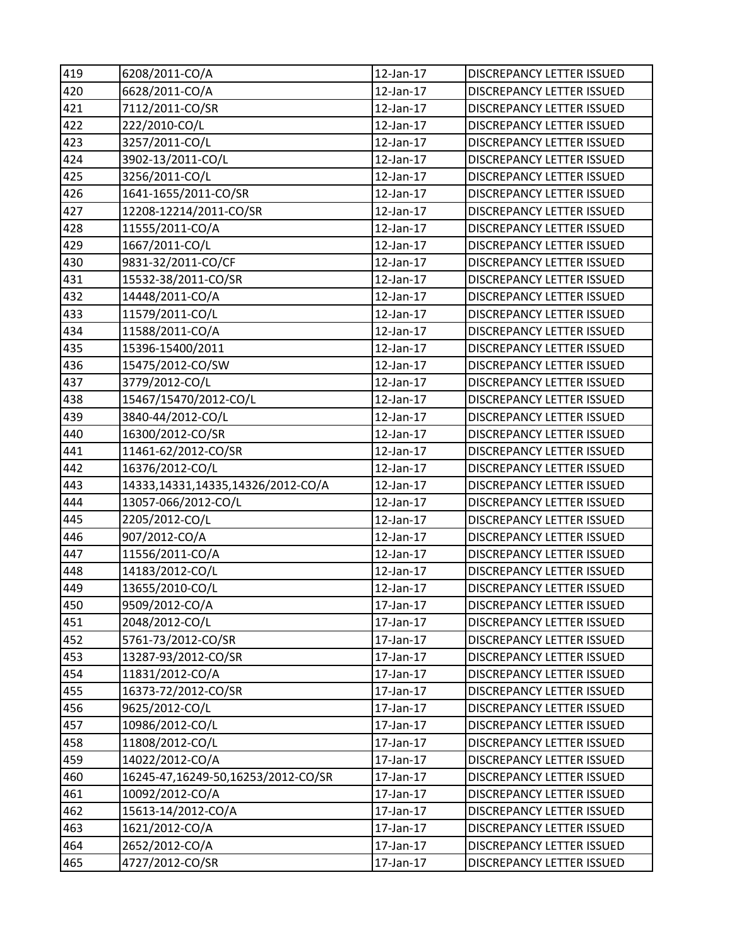| 419 | 6208/2011-CO/A                     | 12-Jan-17       | DISCREPANCY LETTER ISSUED        |
|-----|------------------------------------|-----------------|----------------------------------|
| 420 | 6628/2011-CO/A                     | 12-Jan-17       | DISCREPANCY LETTER ISSUED        |
| 421 | 7112/2011-CO/SR                    | 12-Jan-17       | DISCREPANCY LETTER ISSUED        |
| 422 | 222/2010-CO/L                      | 12-Jan-17       | DISCREPANCY LETTER ISSUED        |
| 423 | 3257/2011-CO/L                     | 12-Jan-17       | DISCREPANCY LETTER ISSUED        |
| 424 | 3902-13/2011-CO/L                  | 12-Jan-17       | DISCREPANCY LETTER ISSUED        |
| 425 | 3256/2011-CO/L                     | 12-Jan-17       | DISCREPANCY LETTER ISSUED        |
| 426 | 1641-1655/2011-CO/SR               | 12-Jan-17       | <b>DISCREPANCY LETTER ISSUED</b> |
| 427 | 12208-12214/2011-CO/SR             | 12-Jan-17       | DISCREPANCY LETTER ISSUED        |
| 428 | 11555/2011-CO/A                    | 12-Jan-17       | DISCREPANCY LETTER ISSUED        |
| 429 | 1667/2011-CO/L                     | 12-Jan-17       | DISCREPANCY LETTER ISSUED        |
| 430 | 9831-32/2011-CO/CF                 | 12-Jan-17       | DISCREPANCY LETTER ISSUED        |
| 431 | 15532-38/2011-CO/SR                | 12-Jan-17       | DISCREPANCY LETTER ISSUED        |
| 432 | 14448/2011-CO/A                    | 12-Jan-17       | <b>DISCREPANCY LETTER ISSUED</b> |
| 433 | 11579/2011-CO/L                    | $12$ -Jan- $17$ | DISCREPANCY LETTER ISSUED        |
| 434 | 11588/2011-CO/A                    | 12-Jan-17       | DISCREPANCY LETTER ISSUED        |
| 435 | 15396-15400/2011                   | 12-Jan-17       | DISCREPANCY LETTER ISSUED        |
| 436 | 15475/2012-CO/SW                   | 12-Jan-17       | DISCREPANCY LETTER ISSUED        |
| 437 | 3779/2012-CO/L                     | 12-Jan-17       | DISCREPANCY LETTER ISSUED        |
| 438 | 15467/15470/2012-CO/L              | 12-Jan-17       | DISCREPANCY LETTER ISSUED        |
| 439 | 3840-44/2012-CO/L                  | 12-Jan-17       | DISCREPANCY LETTER ISSUED        |
| 440 | 16300/2012-CO/SR                   | 12-Jan-17       | DISCREPANCY LETTER ISSUED        |
| 441 | 11461-62/2012-CO/SR                | 12-Jan-17       | DISCREPANCY LETTER ISSUED        |
| 442 | 16376/2012-CO/L                    | 12-Jan-17       | DISCREPANCY LETTER ISSUED        |
| 443 | 14333,14331,14335,14326/2012-CO/A  | 12-Jan-17       | DISCREPANCY LETTER ISSUED        |
| 444 | 13057-066/2012-CO/L                | 12-Jan-17       | <b>DISCREPANCY LETTER ISSUED</b> |
| 445 | 2205/2012-CO/L                     | 12-Jan-17       | DISCREPANCY LETTER ISSUED        |
| 446 | 907/2012-CO/A                      | 12-Jan-17       | DISCREPANCY LETTER ISSUED        |
| 447 | 11556/2011-CO/A                    | 12-Jan-17       | DISCREPANCY LETTER ISSUED        |
| 448 | 14183/2012-CO/L                    | 12-Jan-17       | <b>DISCREPANCY LETTER ISSUED</b> |
| 449 | 13655/2010-CO/L                    | 12-Jan-17       | <b>DISCREPANCY LETTER ISSUED</b> |
| 450 | 9509/2012-CO/A                     | 17-Jan-17       | <b>DISCREPANCY LETTER ISSUED</b> |
| 451 | 2048/2012-CO/L                     | 17-Jan-17       | <b>DISCREPANCY LETTER ISSUED</b> |
| 452 | 5761-73/2012-CO/SR                 | 17-Jan-17       | DISCREPANCY LETTER ISSUED        |
| 453 | 13287-93/2012-CO/SR                | 17-Jan-17       | DISCREPANCY LETTER ISSUED        |
| 454 | 11831/2012-CO/A                    | 17-Jan-17       | DISCREPANCY LETTER ISSUED        |
| 455 | 16373-72/2012-CO/SR                | 17-Jan-17       | DISCREPANCY LETTER ISSUED        |
| 456 | 9625/2012-CO/L                     | 17-Jan-17       | <b>DISCREPANCY LETTER ISSUED</b> |
| 457 | 10986/2012-CO/L                    | 17-Jan-17       | <b>DISCREPANCY LETTER ISSUED</b> |
| 458 | 11808/2012-CO/L                    | 17-Jan-17       | <b>DISCREPANCY LETTER ISSUED</b> |
| 459 | 14022/2012-CO/A                    | 17-Jan-17       | DISCREPANCY LETTER ISSUED        |
| 460 | 16245-47,16249-50,16253/2012-CO/SR | 17-Jan-17       | DISCREPANCY LETTER ISSUED        |
| 461 | 10092/2012-CO/A                    | 17-Jan-17       | DISCREPANCY LETTER ISSUED        |
| 462 | 15613-14/2012-CO/A                 | 17-Jan-17       | DISCREPANCY LETTER ISSUED        |
| 463 | 1621/2012-CO/A                     | 17-Jan-17       | DISCREPANCY LETTER ISSUED        |
| 464 | 2652/2012-CO/A                     | 17-Jan-17       | DISCREPANCY LETTER ISSUED        |
| 465 | 4727/2012-CO/SR                    | 17-Jan-17       | DISCREPANCY LETTER ISSUED        |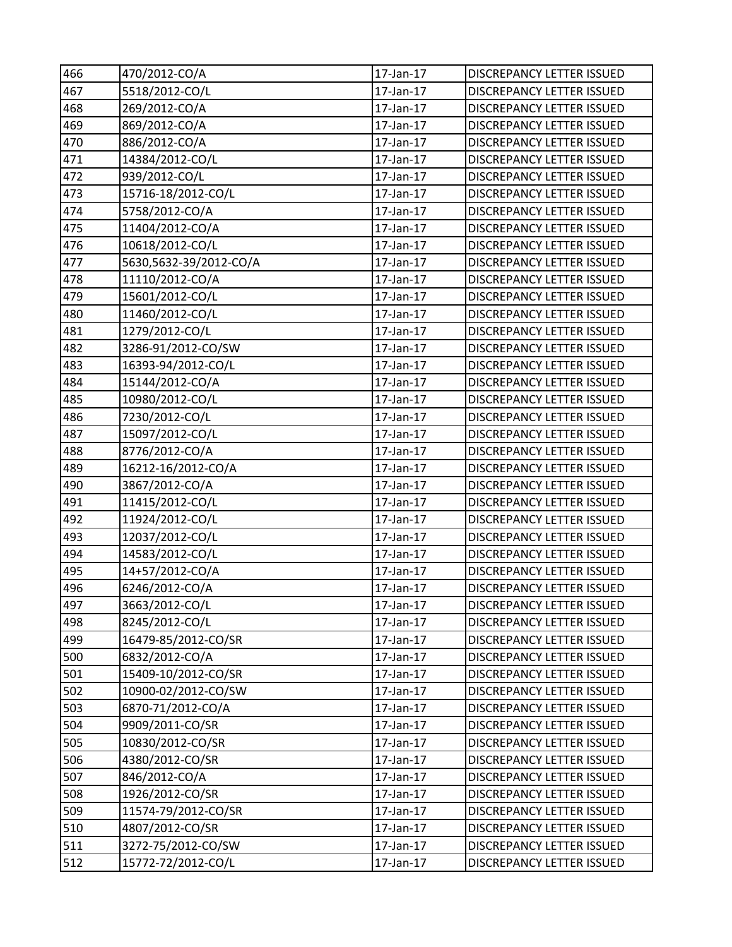| 466 | 470/2012-CO/A          | 17-Jan-17 | DISCREPANCY LETTER ISSUED        |
|-----|------------------------|-----------|----------------------------------|
| 467 | 5518/2012-CO/L         | 17-Jan-17 | DISCREPANCY LETTER ISSUED        |
| 468 | 269/2012-CO/A          | 17-Jan-17 | <b>DISCREPANCY LETTER ISSUED</b> |
| 469 | 869/2012-CO/A          | 17-Jan-17 | DISCREPANCY LETTER ISSUED        |
| 470 | 886/2012-CO/A          | 17-Jan-17 | <b>DISCREPANCY LETTER ISSUED</b> |
| 471 | 14384/2012-CO/L        | 17-Jan-17 | <b>DISCREPANCY LETTER ISSUED</b> |
| 472 | 939/2012-CO/L          | 17-Jan-17 | <b>DISCREPANCY LETTER ISSUED</b> |
| 473 | 15716-18/2012-CO/L     | 17-Jan-17 | DISCREPANCY LETTER ISSUED        |
| 474 | 5758/2012-CO/A         | 17-Jan-17 | DISCREPANCY LETTER ISSUED        |
| 475 | 11404/2012-CO/A        | 17-Jan-17 | <b>DISCREPANCY LETTER ISSUED</b> |
| 476 | 10618/2012-CO/L        | 17-Jan-17 | DISCREPANCY LETTER ISSUED        |
| 477 | 5630,5632-39/2012-CO/A | 17-Jan-17 | DISCREPANCY LETTER ISSUED        |
| 478 | 11110/2012-CO/A        | 17-Jan-17 | DISCREPANCY LETTER ISSUED        |
| 479 | 15601/2012-CO/L        | 17-Jan-17 | <b>DISCREPANCY LETTER ISSUED</b> |
| 480 | 11460/2012-CO/L        | 17-Jan-17 | DISCREPANCY LETTER ISSUED        |
| 481 | 1279/2012-CO/L         | 17-Jan-17 | DISCREPANCY LETTER ISSUED        |
| 482 | 3286-91/2012-CO/SW     | 17-Jan-17 | DISCREPANCY LETTER ISSUED        |
| 483 | 16393-94/2012-CO/L     | 17-Jan-17 | DISCREPANCY LETTER ISSUED        |
| 484 | 15144/2012-CO/A        | 17-Jan-17 | <b>DISCREPANCY LETTER ISSUED</b> |
| 485 | 10980/2012-CO/L        | 17-Jan-17 | DISCREPANCY LETTER ISSUED        |
| 486 | 7230/2012-CO/L         | 17-Jan-17 | DISCREPANCY LETTER ISSUED        |
| 487 | 15097/2012-CO/L        | 17-Jan-17 | DISCREPANCY LETTER ISSUED        |
| 488 | 8776/2012-CO/A         | 17-Jan-17 | <b>DISCREPANCY LETTER ISSUED</b> |
| 489 | 16212-16/2012-CO/A     | 17-Jan-17 | DISCREPANCY LETTER ISSUED        |
| 490 | 3867/2012-CO/A         | 17-Jan-17 | DISCREPANCY LETTER ISSUED        |
| 491 | 11415/2012-CO/L        | 17-Jan-17 | <b>DISCREPANCY LETTER ISSUED</b> |
| 492 | 11924/2012-CO/L        | 17-Jan-17 | DISCREPANCY LETTER ISSUED        |
| 493 | 12037/2012-CO/L        | 17-Jan-17 | DISCREPANCY LETTER ISSUED        |
| 494 | 14583/2012-CO/L        | 17-Jan-17 | DISCREPANCY LETTER ISSUED        |
| 495 | 14+57/2012-CO/A        | 17-Jan-17 | <b>DISCREPANCY LETTER ISSUED</b> |
| 496 | 6246/2012-CO/A         | 17-Jan-17 | <b>DISCREPANCY LETTER ISSUED</b> |
| 497 | 3663/2012-CO/L         | 17-Jan-17 | DISCREPANCY LETTER ISSUED        |
| 498 | 8245/2012-CO/L         | 17-Jan-17 | <b>DISCREPANCY LETTER ISSUED</b> |
| 499 | 16479-85/2012-CO/SR    | 17-Jan-17 | DISCREPANCY LETTER ISSUED        |
| 500 | 6832/2012-CO/A         | 17-Jan-17 | <b>DISCREPANCY LETTER ISSUED</b> |
| 501 | 15409-10/2012-CO/SR    | 17-Jan-17 | DISCREPANCY LETTER ISSUED        |
| 502 | 10900-02/2012-CO/SW    | 17-Jan-17 | DISCREPANCY LETTER ISSUED        |
| 503 | 6870-71/2012-CO/A      | 17-Jan-17 | DISCREPANCY LETTER ISSUED        |
| 504 | 9909/2011-CO/SR        | 17-Jan-17 | <b>DISCREPANCY LETTER ISSUED</b> |
| 505 | 10830/2012-CO/SR       | 17-Jan-17 | DISCREPANCY LETTER ISSUED        |
| 506 | 4380/2012-CO/SR        | 17-Jan-17 | DISCREPANCY LETTER ISSUED        |
| 507 | 846/2012-CO/A          | 17-Jan-17 | DISCREPANCY LETTER ISSUED        |
| 508 | 1926/2012-CO/SR        | 17-Jan-17 | DISCREPANCY LETTER ISSUED        |
| 509 | 11574-79/2012-CO/SR    | 17-Jan-17 | DISCREPANCY LETTER ISSUED        |
| 510 | 4807/2012-CO/SR        | 17-Jan-17 | DISCREPANCY LETTER ISSUED        |
| 511 | 3272-75/2012-CO/SW     | 17-Jan-17 | DISCREPANCY LETTER ISSUED        |
| 512 | 15772-72/2012-CO/L     | 17-Jan-17 | DISCREPANCY LETTER ISSUED        |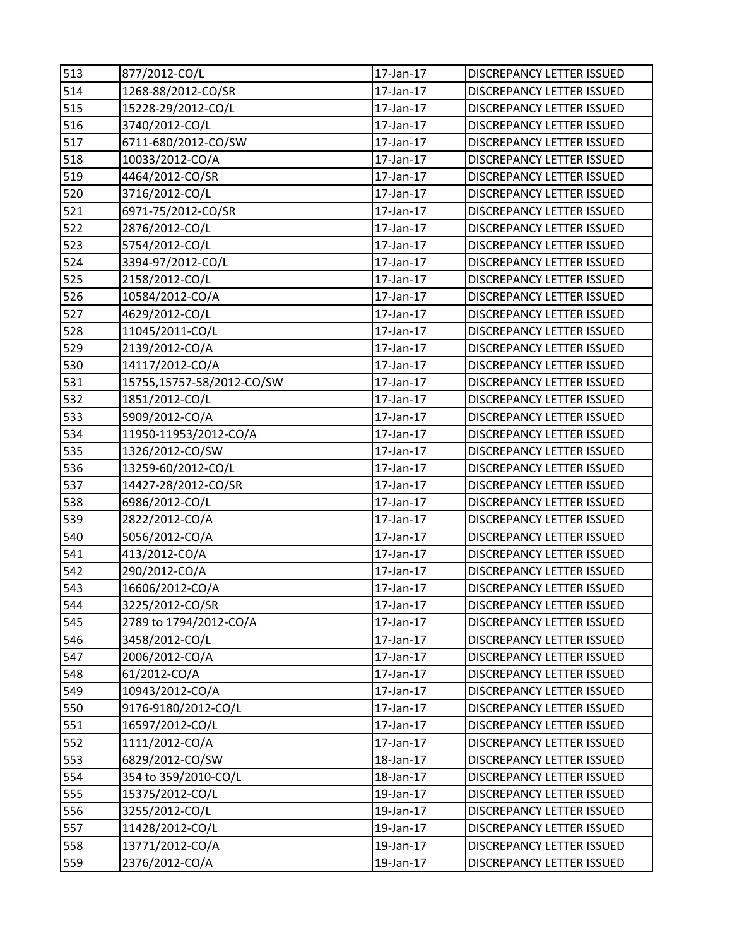| 513 | 877/2012-CO/L             | 17-Jan-17 | DISCREPANCY LETTER ISSUED        |
|-----|---------------------------|-----------|----------------------------------|
| 514 | 1268-88/2012-CO/SR        | 17-Jan-17 | <b>DISCREPANCY LETTER ISSUED</b> |
| 515 | 15228-29/2012-CO/L        | 17-Jan-17 | <b>DISCREPANCY LETTER ISSUED</b> |
| 516 | 3740/2012-CO/L            | 17-Jan-17 | DISCREPANCY LETTER ISSUED        |
| 517 | 6711-680/2012-CO/SW       | 17-Jan-17 | DISCREPANCY LETTER ISSUED        |
| 518 | 10033/2012-CO/A           | 17-Jan-17 | DISCREPANCY LETTER ISSUED        |
| 519 | 4464/2012-CO/SR           | 17-Jan-17 | DISCREPANCY LETTER ISSUED        |
| 520 | 3716/2012-CO/L            | 17-Jan-17 | DISCREPANCY LETTER ISSUED        |
| 521 | 6971-75/2012-CO/SR        | 17-Jan-17 | DISCREPANCY LETTER ISSUED        |
| 522 | 2876/2012-CO/L            | 17-Jan-17 | DISCREPANCY LETTER ISSUED        |
| 523 | 5754/2012-CO/L            | 17-Jan-17 | <b>DISCREPANCY LETTER ISSUED</b> |
| 524 | 3394-97/2012-CO/L         | 17-Jan-17 | DISCREPANCY LETTER ISSUED        |
| 525 | 2158/2012-CO/L            | 17-Jan-17 | DISCREPANCY LETTER ISSUED        |
| 526 | 10584/2012-CO/A           | 17-Jan-17 | DISCREPANCY LETTER ISSUED        |
| 527 | 4629/2012-CO/L            | 17-Jan-17 | DISCREPANCY LETTER ISSUED        |
| 528 | 11045/2011-CO/L           | 17-Jan-17 | <b>DISCREPANCY LETTER ISSUED</b> |
| 529 | 2139/2012-CO/A            | 17-Jan-17 | <b>DISCREPANCY LETTER ISSUED</b> |
| 530 | 14117/2012-CO/A           | 17-Jan-17 | DISCREPANCY LETTER ISSUED        |
| 531 | 15755,15757-58/2012-CO/SW | 17-Jan-17 | DISCREPANCY LETTER ISSUED        |
| 532 | 1851/2012-CO/L            | 17-Jan-17 | <b>DISCREPANCY LETTER ISSUED</b> |
| 533 | 5909/2012-CO/A            | 17-Jan-17 | DISCREPANCY LETTER ISSUED        |
| 534 | 11950-11953/2012-CO/A     | 17-Jan-17 | DISCREPANCY LETTER ISSUED        |
| 535 | 1326/2012-CO/SW           | 17-Jan-17 | DISCREPANCY LETTER ISSUED        |
| 536 | 13259-60/2012-CO/L        | 17-Jan-17 | DISCREPANCY LETTER ISSUED        |
| 537 | 14427-28/2012-CO/SR       | 17-Jan-17 | DISCREPANCY LETTER ISSUED        |
| 538 | 6986/2012-CO/L            | 17-Jan-17 | <b>DISCREPANCY LETTER ISSUED</b> |
| 539 | 2822/2012-CO/A            | 17-Jan-17 | DISCREPANCY LETTER ISSUED        |
| 540 | 5056/2012-CO/A            | 17-Jan-17 | DISCREPANCY LETTER ISSUED        |
| 541 | 413/2012-CO/A             | 17-Jan-17 | DISCREPANCY LETTER ISSUED        |
| 542 | 290/2012-CO/A             | 17-Jan-17 | <b>DISCREPANCY LETTER ISSUED</b> |
| 543 | 16606/2012-CO/A           | 17-Jan-17 | <b>DISCREPANCY LETTER ISSUED</b> |
| 544 | 3225/2012-CO/SR           | 17-Jan-17 | DISCREPANCY LETTER ISSUED        |
| 545 | 2789 to 1794/2012-CO/A    | 17-Jan-17 | <b>DISCREPANCY LETTER ISSUED</b> |
| 546 | 3458/2012-CO/L            | 17-Jan-17 | DISCREPANCY LETTER ISSUED        |
| 547 | 2006/2012-CO/A            | 17-Jan-17 | <b>DISCREPANCY LETTER ISSUED</b> |
| 548 | 61/2012-CO/A              | 17-Jan-17 | DISCREPANCY LETTER ISSUED        |
| 549 | 10943/2012-CO/A           | 17-Jan-17 | DISCREPANCY LETTER ISSUED        |
| 550 | 9176-9180/2012-CO/L       | 17-Jan-17 | <b>DISCREPANCY LETTER ISSUED</b> |
| 551 | 16597/2012-CO/L           | 17-Jan-17 | <b>DISCREPANCY LETTER ISSUED</b> |
| 552 | 1111/2012-CO/A            | 17-Jan-17 | DISCREPANCY LETTER ISSUED        |
| 553 | 6829/2012-CO/SW           | 18-Jan-17 | DISCREPANCY LETTER ISSUED        |
| 554 | 354 to 359/2010-CO/L      | 18-Jan-17 | DISCREPANCY LETTER ISSUED        |
| 555 | 15375/2012-CO/L           | 19-Jan-17 | <b>DISCREPANCY LETTER ISSUED</b> |
| 556 | 3255/2012-CO/L            | 19-Jan-17 | DISCREPANCY LETTER ISSUED        |
| 557 | 11428/2012-CO/L           | 19-Jan-17 | DISCREPANCY LETTER ISSUED        |
| 558 | 13771/2012-CO/A           | 19-Jan-17 | DISCREPANCY LETTER ISSUED        |
| 559 | 2376/2012-CO/A            | 19-Jan-17 | DISCREPANCY LETTER ISSUED        |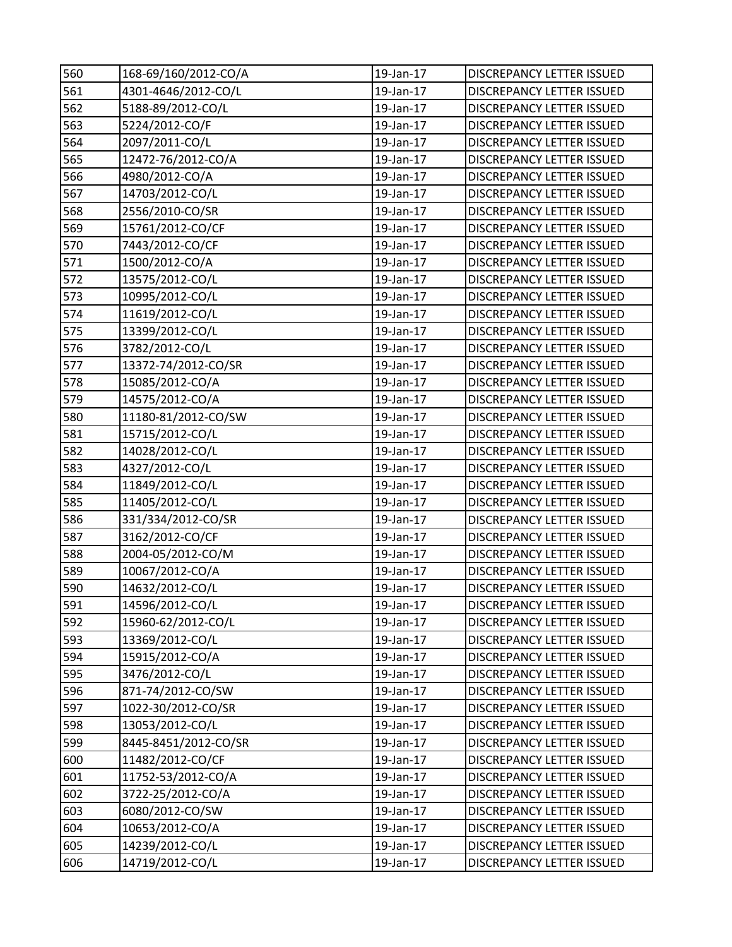| 560 | 168-69/160/2012-CO/A | 19-Jan-17 | <b>DISCREPANCY LETTER ISSUED</b> |
|-----|----------------------|-----------|----------------------------------|
| 561 | 4301-4646/2012-CO/L  | 19-Jan-17 | <b>DISCREPANCY LETTER ISSUED</b> |
| 562 | 5188-89/2012-CO/L    | 19-Jan-17 | DISCREPANCY LETTER ISSUED        |
| 563 | 5224/2012-CO/F       | 19-Jan-17 | DISCREPANCY LETTER ISSUED        |
| 564 | 2097/2011-CO/L       | 19-Jan-17 | DISCREPANCY LETTER ISSUED        |
| 565 | 12472-76/2012-CO/A   | 19-Jan-17 | DISCREPANCY LETTER ISSUED        |
| 566 | 4980/2012-CO/A       | 19-Jan-17 | DISCREPANCY LETTER ISSUED        |
| 567 | 14703/2012-CO/L      | 19-Jan-17 | DISCREPANCY LETTER ISSUED        |
| 568 | 2556/2010-CO/SR      | 19-Jan-17 | <b>DISCREPANCY LETTER ISSUED</b> |
| 569 | 15761/2012-CO/CF     | 19-Jan-17 | DISCREPANCY LETTER ISSUED        |
| 570 | 7443/2012-CO/CF      | 19-Jan-17 | DISCREPANCY LETTER ISSUED        |
| 571 | 1500/2012-CO/A       | 19-Jan-17 | DISCREPANCY LETTER ISSUED        |
| 572 | 13575/2012-CO/L      | 19-Jan-17 | DISCREPANCY LETTER ISSUED        |
| 573 | 10995/2012-CO/L      | 19-Jan-17 | DISCREPANCY LETTER ISSUED        |
| 574 | 11619/2012-CO/L      | 19-Jan-17 | DISCREPANCY LETTER ISSUED        |
| 575 | 13399/2012-CO/L      | 19-Jan-17 | DISCREPANCY LETTER ISSUED        |
| 576 | 3782/2012-CO/L       | 19-Jan-17 | DISCREPANCY LETTER ISSUED        |
| 577 | 13372-74/2012-CO/SR  | 19-Jan-17 | DISCREPANCY LETTER ISSUED        |
| 578 | 15085/2012-CO/A      | 19-Jan-17 | DISCREPANCY LETTER ISSUED        |
| 579 | 14575/2012-CO/A      | 19-Jan-17 | DISCREPANCY LETTER ISSUED        |
| 580 | 11180-81/2012-CO/SW  | 19-Jan-17 | DISCREPANCY LETTER ISSUED        |
| 581 | 15715/2012-CO/L      | 19-Jan-17 | DISCREPANCY LETTER ISSUED        |
| 582 | 14028/2012-CO/L      | 19-Jan-17 | DISCREPANCY LETTER ISSUED        |
| 583 | 4327/2012-CO/L       | 19-Jan-17 | DISCREPANCY LETTER ISSUED        |
| 584 | 11849/2012-CO/L      | 19-Jan-17 | DISCREPANCY LETTER ISSUED        |
| 585 | 11405/2012-CO/L      | 19-Jan-17 | DISCREPANCY LETTER ISSUED        |
| 586 | 331/334/2012-CO/SR   | 19-Jan-17 | DISCREPANCY LETTER ISSUED        |
| 587 | 3162/2012-CO/CF      | 19-Jan-17 | DISCREPANCY LETTER ISSUED        |
| 588 | 2004-05/2012-CO/M    | 19-Jan-17 | DISCREPANCY LETTER ISSUED        |
| 589 | 10067/2012-CO/A      | 19-Jan-17 | DISCREPANCY LETTER ISSUED        |
| 590 | 14632/2012-CO/L      | 19-Jan-17 | <b>DISCREPANCY LETTER ISSUED</b> |
| 591 | 14596/2012-CO/L      | 19-Jan-17 | <b>DISCREPANCY LETTER ISSUED</b> |
| 592 | 15960-62/2012-CO/L   | 19-Jan-17 | DISCREPANCY LETTER ISSUED        |
| 593 | 13369/2012-CO/L      | 19-Jan-17 | DISCREPANCY LETTER ISSUED        |
| 594 | 15915/2012-CO/A      | 19-Jan-17 | DISCREPANCY LETTER ISSUED        |
| 595 | 3476/2012-CO/L       | 19-Jan-17 | DISCREPANCY LETTER ISSUED        |
| 596 | 871-74/2012-CO/SW    | 19-Jan-17 | DISCREPANCY LETTER ISSUED        |
| 597 | 1022-30/2012-CO/SR   | 19-Jan-17 | DISCREPANCY LETTER ISSUED        |
| 598 | 13053/2012-CO/L      | 19-Jan-17 | DISCREPANCY LETTER ISSUED        |
| 599 | 8445-8451/2012-CO/SR | 19-Jan-17 | <b>DISCREPANCY LETTER ISSUED</b> |
| 600 | 11482/2012-CO/CF     | 19-Jan-17 | DISCREPANCY LETTER ISSUED        |
| 601 | 11752-53/2012-CO/A   | 19-Jan-17 | DISCREPANCY LETTER ISSUED        |
| 602 | 3722-25/2012-CO/A    | 19-Jan-17 | DISCREPANCY LETTER ISSUED        |
| 603 | 6080/2012-CO/SW      | 19-Jan-17 | DISCREPANCY LETTER ISSUED        |
| 604 | 10653/2012-CO/A      | 19-Jan-17 | DISCREPANCY LETTER ISSUED        |
| 605 | 14239/2012-CO/L      | 19-Jan-17 | DISCREPANCY LETTER ISSUED        |
| 606 | 14719/2012-CO/L      | 19-Jan-17 | DISCREPANCY LETTER ISSUED        |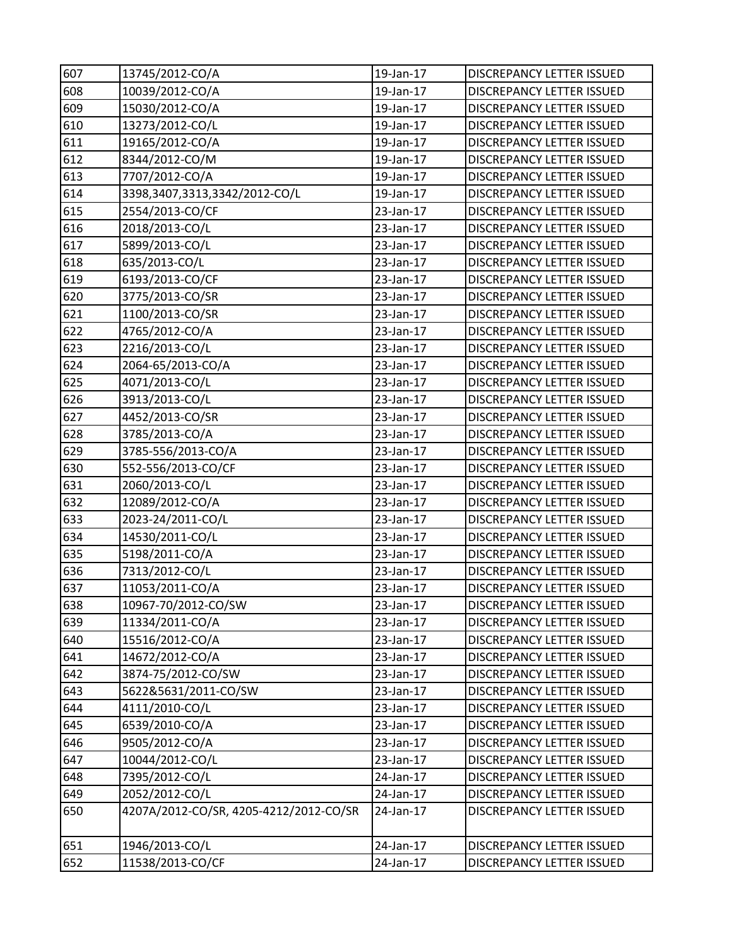| 607 | 13745/2012-CO/A                        | 19-Jan-17 | DISCREPANCY LETTER ISSUED        |
|-----|----------------------------------------|-----------|----------------------------------|
| 608 | 10039/2012-CO/A                        | 19-Jan-17 | <b>DISCREPANCY LETTER ISSUED</b> |
| 609 | 15030/2012-CO/A                        | 19-Jan-17 | DISCREPANCY LETTER ISSUED        |
| 610 | 13273/2012-CO/L                        | 19-Jan-17 | DISCREPANCY LETTER ISSUED        |
| 611 | 19165/2012-CO/A                        | 19-Jan-17 | DISCREPANCY LETTER ISSUED        |
| 612 | 8344/2012-CO/M                         | 19-Jan-17 | DISCREPANCY LETTER ISSUED        |
| 613 | 7707/2012-CO/A                         | 19-Jan-17 | DISCREPANCY LETTER ISSUED        |
| 614 | 3398,3407,3313,3342/2012-CO/L          | 19-Jan-17 | DISCREPANCY LETTER ISSUED        |
| 615 | 2554/2013-CO/CF                        | 23-Jan-17 | DISCREPANCY LETTER ISSUED        |
| 616 | 2018/2013-CO/L                         | 23-Jan-17 | DISCREPANCY LETTER ISSUED        |
| 617 | 5899/2013-CO/L                         | 23-Jan-17 | DISCREPANCY LETTER ISSUED        |
| 618 | 635/2013-CO/L                          | 23-Jan-17 | DISCREPANCY LETTER ISSUED        |
| 619 | 6193/2013-CO/CF                        | 23-Jan-17 | DISCREPANCY LETTER ISSUED        |
| 620 | 3775/2013-CO/SR                        | 23-Jan-17 | <b>DISCREPANCY LETTER ISSUED</b> |
| 621 | 1100/2013-CO/SR                        | 23-Jan-17 | DISCREPANCY LETTER ISSUED        |
| 622 | 4765/2012-CO/A                         | 23-Jan-17 | DISCREPANCY LETTER ISSUED        |
| 623 | 2216/2013-CO/L                         | 23-Jan-17 | DISCREPANCY LETTER ISSUED        |
| 624 | 2064-65/2013-CO/A                      | 23-Jan-17 | DISCREPANCY LETTER ISSUED        |
| 625 | 4071/2013-CO/L                         | 23-Jan-17 | DISCREPANCY LETTER ISSUED        |
| 626 | 3913/2013-CO/L                         | 23-Jan-17 | DISCREPANCY LETTER ISSUED        |
| 627 | 4452/2013-CO/SR                        | 23-Jan-17 | DISCREPANCY LETTER ISSUED        |
| 628 | 3785/2013-CO/A                         | 23-Jan-17 | DISCREPANCY LETTER ISSUED        |
| 629 | 3785-556/2013-CO/A                     | 23-Jan-17 | DISCREPANCY LETTER ISSUED        |
| 630 | 552-556/2013-CO/CF                     | 23-Jan-17 | DISCREPANCY LETTER ISSUED        |
| 631 | 2060/2013-CO/L                         | 23-Jan-17 | DISCREPANCY LETTER ISSUED        |
| 632 | 12089/2012-CO/A                        | 23-Jan-17 | DISCREPANCY LETTER ISSUED        |
| 633 | 2023-24/2011-CO/L                      | 23-Jan-17 | DISCREPANCY LETTER ISSUED        |
| 634 | 14530/2011-CO/L                        | 23-Jan-17 | DISCREPANCY LETTER ISSUED        |
| 635 | 5198/2011-CO/A                         | 23-Jan-17 | DISCREPANCY LETTER ISSUED        |
| 636 | 7313/2012-CO/L                         | 23-Jan-17 | DISCREPANCY LETTER ISSUED        |
| 637 | 11053/2011-CO/A                        | 23-Jan-17 | <b>DISCREPANCY LETTER ISSUED</b> |
| 638 | 10967-70/2012-CO/SW                    | 23-Jan-17 | DISCREPANCY LETTER ISSUED        |
| 639 | 11334/2011-CO/A                        | 23-Jan-17 | <b>DISCREPANCY LETTER ISSUED</b> |
| 640 | 15516/2012-CO/A                        | 23-Jan-17 | DISCREPANCY LETTER ISSUED        |
| 641 | 14672/2012-CO/A                        | 23-Jan-17 | DISCREPANCY LETTER ISSUED        |
| 642 | 3874-75/2012-CO/SW                     | 23-Jan-17 | DISCREPANCY LETTER ISSUED        |
| 643 | 5622&5631/2011-CO/SW                   | 23-Jan-17 | DISCREPANCY LETTER ISSUED        |
| 644 | 4111/2010-CO/L                         | 23-Jan-17 | <b>DISCREPANCY LETTER ISSUED</b> |
| 645 | 6539/2010-CO/A                         | 23-Jan-17 | DISCREPANCY LETTER ISSUED        |
| 646 | 9505/2012-CO/A                         | 23-Jan-17 | DISCREPANCY LETTER ISSUED        |
| 647 | 10044/2012-CO/L                        | 23-Jan-17 | DISCREPANCY LETTER ISSUED        |
| 648 | 7395/2012-CO/L                         | 24-Jan-17 | DISCREPANCY LETTER ISSUED        |
| 649 | 2052/2012-CO/L                         | 24-Jan-17 | <b>DISCREPANCY LETTER ISSUED</b> |
| 650 | 4207A/2012-CO/SR, 4205-4212/2012-CO/SR | 24-Jan-17 | DISCREPANCY LETTER ISSUED        |
| 651 | 1946/2013-CO/L                         | 24-Jan-17 | DISCREPANCY LETTER ISSUED        |
| 652 | 11538/2013-CO/CF                       | 24-Jan-17 | DISCREPANCY LETTER ISSUED        |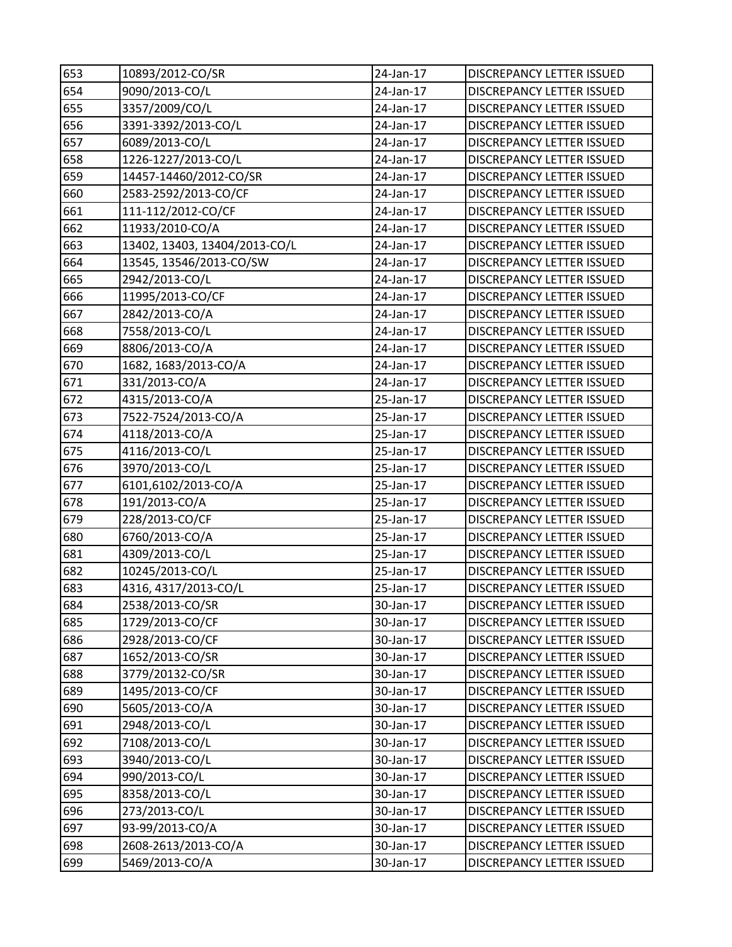| 653 | 10893/2012-CO/SR              | 24-Jan-17       | DISCREPANCY LETTER ISSUED        |
|-----|-------------------------------|-----------------|----------------------------------|
| 654 | 9090/2013-CO/L                | 24-Jan-17       | <b>DISCREPANCY LETTER ISSUED</b> |
| 655 | 3357/2009/CO/L                | 24-Jan-17       | <b>DISCREPANCY LETTER ISSUED</b> |
| 656 | 3391-3392/2013-CO/L           | 24-Jan-17       | DISCREPANCY LETTER ISSUED        |
| 657 | 6089/2013-CO/L                | 24-Jan-17       | DISCREPANCY LETTER ISSUED        |
| 658 | 1226-1227/2013-CO/L           | 24-Jan-17       | DISCREPANCY LETTER ISSUED        |
| 659 | 14457-14460/2012-CO/SR        | 24-Jan-17       | DISCREPANCY LETTER ISSUED        |
| 660 | 2583-2592/2013-CO/CF          | 24-Jan-17       | <b>DISCREPANCY LETTER ISSUED</b> |
| 661 | 111-112/2012-CO/CF            | 24-Jan-17       | DISCREPANCY LETTER ISSUED        |
| 662 | 11933/2010-CO/A               | 24-Jan-17       | DISCREPANCY LETTER ISSUED        |
| 663 | 13402, 13403, 13404/2013-CO/L | 24-Jan-17       | <b>DISCREPANCY LETTER ISSUED</b> |
| 664 | 13545, 13546/2013-CO/SW       | 24-Jan-17       | DISCREPANCY LETTER ISSUED        |
| 665 | 2942/2013-CO/L                | 24-Jan-17       | DISCREPANCY LETTER ISSUED        |
| 666 | 11995/2013-CO/CF              | 24-Jan-17       | DISCREPANCY LETTER ISSUED        |
| 667 | 2842/2013-CO/A                | 24-Jan-17       | DISCREPANCY LETTER ISSUED        |
| 668 | 7558/2013-CO/L                | 24-Jan-17       | <b>DISCREPANCY LETTER ISSUED</b> |
| 669 | 8806/2013-CO/A                | 24-Jan-17       | DISCREPANCY LETTER ISSUED        |
| 670 | 1682, 1683/2013-CO/A          | 24-Jan-17       | DISCREPANCY LETTER ISSUED        |
| 671 | 331/2013-CO/A                 | 24-Jan-17       | <b>DISCREPANCY LETTER ISSUED</b> |
| 672 | 4315/2013-CO/A                | 25-Jan-17       | DISCREPANCY LETTER ISSUED        |
| 673 | 7522-7524/2013-CO/A           | 25-Jan-17       | DISCREPANCY LETTER ISSUED        |
| 674 | 4118/2013-CO/A                | 25-Jan-17       | DISCREPANCY LETTER ISSUED        |
| 675 | 4116/2013-CO/L                | 25-Jan-17       | DISCREPANCY LETTER ISSUED        |
| 676 | 3970/2013-CO/L                | 25-Jan-17       | DISCREPANCY LETTER ISSUED        |
| 677 | 6101,6102/2013-CO/A           | 25-Jan-17       | DISCREPANCY LETTER ISSUED        |
| 678 | 191/2013-CO/A                 | 25-Jan-17       | <b>DISCREPANCY LETTER ISSUED</b> |
| 679 | 228/2013-CO/CF                | 25-Jan-17       | DISCREPANCY LETTER ISSUED        |
| 680 | 6760/2013-CO/A                | 25-Jan-17       | DISCREPANCY LETTER ISSUED        |
| 681 | 4309/2013-CO/L                | 25-Jan-17       | DISCREPANCY LETTER ISSUED        |
| 682 | 10245/2013-CO/L               | 25-Jan-17       | DISCREPANCY LETTER ISSUED        |
| 683 | 4316, 4317/2013-CO/L          | 25-Jan-17       | <b>DISCREPANCY LETTER ISSUED</b> |
| 684 | 2538/2013-CO/SR               | $30 - Jan - 17$ | DISCREPANCY LETTER ISSUED        |
| 685 | 1729/2013-CO/CF               | 30-Jan-17       | DISCREPANCY LETTER ISSUED        |
| 686 | 2928/2013-CO/CF               | 30-Jan-17       | DISCREPANCY LETTER ISSUED        |
| 687 | 1652/2013-CO/SR               | 30-Jan-17       | DISCREPANCY LETTER ISSUED        |
| 688 | 3779/20132-CO/SR              | 30-Jan-17       | DISCREPANCY LETTER ISSUED        |
| 689 | 1495/2013-CO/CF               | 30-Jan-17       | DISCREPANCY LETTER ISSUED        |
| 690 | 5605/2013-CO/A                | 30-Jan-17       | DISCREPANCY LETTER ISSUED        |
| 691 | 2948/2013-CO/L                | 30-Jan-17       | DISCREPANCY LETTER ISSUED        |
| 692 | 7108/2013-CO/L                | 30-Jan-17       | DISCREPANCY LETTER ISSUED        |
| 693 | 3940/2013-CO/L                | 30-Jan-17       | DISCREPANCY LETTER ISSUED        |
| 694 | 990/2013-CO/L                 | 30-Jan-17       | DISCREPANCY LETTER ISSUED        |
| 695 | 8358/2013-CO/L                | 30-Jan-17       | DISCREPANCY LETTER ISSUED        |
| 696 | 273/2013-CO/L                 | 30-Jan-17       | <b>DISCREPANCY LETTER ISSUED</b> |
| 697 | 93-99/2013-CO/A               | 30-Jan-17       | DISCREPANCY LETTER ISSUED        |
| 698 | 2608-2613/2013-CO/A           | 30-Jan-17       | DISCREPANCY LETTER ISSUED        |
| 699 | 5469/2013-CO/A                | 30-Jan-17       | DISCREPANCY LETTER ISSUED        |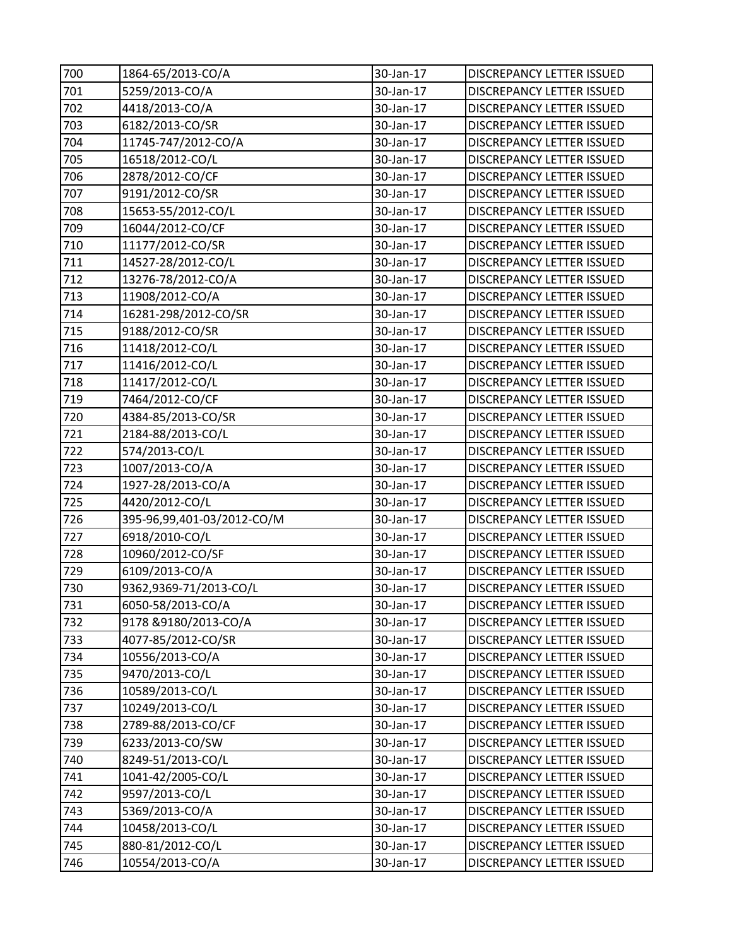| 700 | 1864-65/2013-CO/A          | 30-Jan-17       | DISCREPANCY LETTER ISSUED        |
|-----|----------------------------|-----------------|----------------------------------|
| 701 | 5259/2013-CO/A             | 30-Jan-17       | <b>DISCREPANCY LETTER ISSUED</b> |
| 702 | 4418/2013-CO/A             | 30-Jan-17       | <b>DISCREPANCY LETTER ISSUED</b> |
| 703 | 6182/2013-CO/SR            | 30-Jan-17       | DISCREPANCY LETTER ISSUED        |
| 704 | 11745-747/2012-CO/A        | 30-Jan-17       | DISCREPANCY LETTER ISSUED        |
| 705 | 16518/2012-CO/L            | 30-Jan-17       | DISCREPANCY LETTER ISSUED        |
| 706 | 2878/2012-CO/CF            | 30-Jan-17       | DISCREPANCY LETTER ISSUED        |
| 707 | 9191/2012-CO/SR            | 30-Jan-17       | DISCREPANCY LETTER ISSUED        |
| 708 | 15653-55/2012-CO/L         | 30-Jan-17       | DISCREPANCY LETTER ISSUED        |
| 709 | 16044/2012-CO/CF           | 30-Jan-17       | <b>DISCREPANCY LETTER ISSUED</b> |
| 710 | 11177/2012-CO/SR           | 30-Jan-17       | <b>DISCREPANCY LETTER ISSUED</b> |
| 711 | 14527-28/2012-CO/L         | 30-Jan-17       | DISCREPANCY LETTER ISSUED        |
| 712 | 13276-78/2012-CO/A         | 30-Jan-17       | DISCREPANCY LETTER ISSUED        |
| 713 | 11908/2012-CO/A            | 30-Jan-17       | DISCREPANCY LETTER ISSUED        |
| 714 | 16281-298/2012-CO/SR       | 30-Jan-17       | DISCREPANCY LETTER ISSUED        |
| 715 | 9188/2012-CO/SR            | 30-Jan-17       | <b>DISCREPANCY LETTER ISSUED</b> |
| 716 | 11418/2012-CO/L            | 30-Jan-17       | DISCREPANCY LETTER ISSUED        |
| 717 | 11416/2012-CO/L            | 30-Jan-17       | DISCREPANCY LETTER ISSUED        |
| 718 | 11417/2012-CO/L            | 30-Jan-17       | DISCREPANCY LETTER ISSUED        |
| 719 | 7464/2012-CO/CF            | 30-Jan-17       | <b>DISCREPANCY LETTER ISSUED</b> |
| 720 | 4384-85/2013-CO/SR         | 30-Jan-17       | DISCREPANCY LETTER ISSUED        |
| 721 | 2184-88/2013-CO/L          | 30-Jan-17       | DISCREPANCY LETTER ISSUED        |
| 722 | 574/2013-CO/L              | 30-Jan-17       | DISCREPANCY LETTER ISSUED        |
| 723 | 1007/2013-CO/A             | 30-Jan-17       | DISCREPANCY LETTER ISSUED        |
| 724 | 1927-28/2013-CO/A          | 30-Jan-17       | DISCREPANCY LETTER ISSUED        |
| 725 | 4420/2012-CO/L             | 30-Jan-17       | <b>DISCREPANCY LETTER ISSUED</b> |
| 726 | 395-96,99,401-03/2012-CO/M | 30-Jan-17       | DISCREPANCY LETTER ISSUED        |
| 727 | 6918/2010-CO/L             | 30-Jan-17       | DISCREPANCY LETTER ISSUED        |
| 728 | 10960/2012-CO/SF           | 30-Jan-17       | DISCREPANCY LETTER ISSUED        |
| 729 | 6109/2013-CO/A             | 30-Jan-17       | DISCREPANCY LETTER ISSUED        |
| 730 | 9362,9369-71/2013-CO/L     | 30-Jan-17       | DISCREPANCY LETTER ISSUED        |
| 731 | 6050-58/2013-CO/A          | $30 - Jan - 17$ | DISCREPANCY LETTER ISSUED        |
| 732 | 9178 & 9180/2013-CO/A      | 30-Jan-17       | DISCREPANCY LETTER ISSUED        |
| 733 | 4077-85/2012-CO/SR         | 30-Jan-17       | DISCREPANCY LETTER ISSUED        |
| 734 | 10556/2013-CO/A            | 30-Jan-17       | DISCREPANCY LETTER ISSUED        |
| 735 | 9470/2013-CO/L             | 30-Jan-17       | DISCREPANCY LETTER ISSUED        |
| 736 | 10589/2013-CO/L            | 30-Jan-17       | DISCREPANCY LETTER ISSUED        |
| 737 | 10249/2013-CO/L            | 30-Jan-17       | DISCREPANCY LETTER ISSUED        |
| 738 | 2789-88/2013-CO/CF         | 30-Jan-17       | DISCREPANCY LETTER ISSUED        |
| 739 | 6233/2013-CO/SW            | 30-Jan-17       | DISCREPANCY LETTER ISSUED        |
| 740 | 8249-51/2013-CO/L          | 30-Jan-17       | DISCREPANCY LETTER ISSUED        |
| 741 | 1041-42/2005-CO/L          | 30-Jan-17       | DISCREPANCY LETTER ISSUED        |
| 742 | 9597/2013-CO/L             | 30-Jan-17       | DISCREPANCY LETTER ISSUED        |
| 743 | 5369/2013-CO/A             | 30-Jan-17       | DISCREPANCY LETTER ISSUED        |
| 744 | 10458/2013-CO/L            | 30-Jan-17       | DISCREPANCY LETTER ISSUED        |
| 745 | 880-81/2012-CO/L           | 30-Jan-17       | DISCREPANCY LETTER ISSUED        |
| 746 | 10554/2013-CO/A            | 30-Jan-17       | DISCREPANCY LETTER ISSUED        |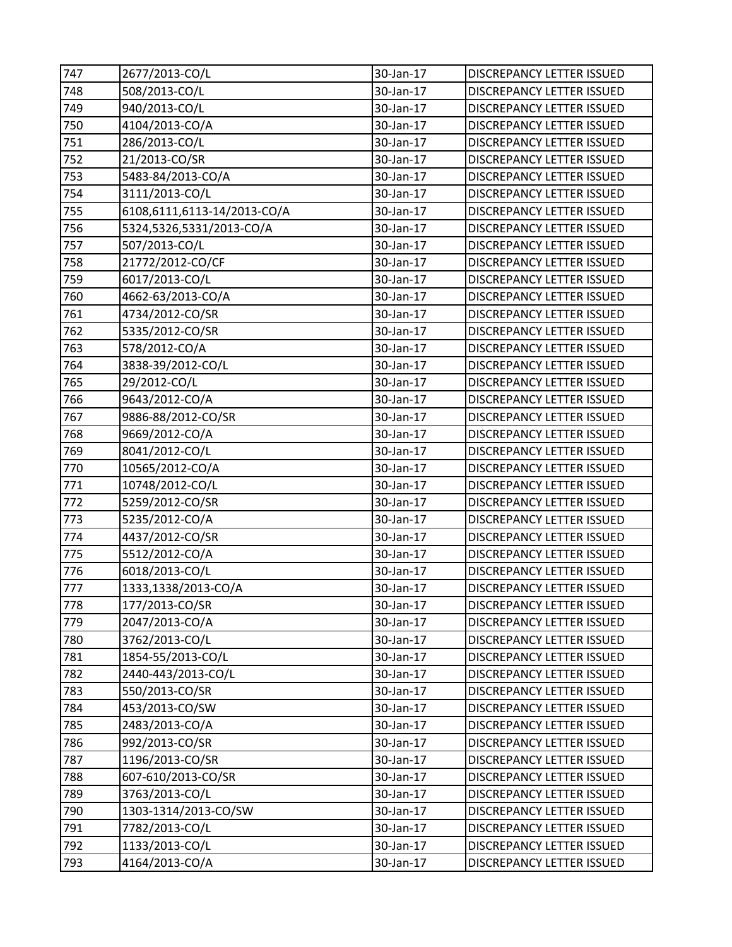| 747 | 2677/2013-CO/L              | 30-Jan-17              | DISCREPANCY LETTER ISSUED        |
|-----|-----------------------------|------------------------|----------------------------------|
| 748 | 508/2013-CO/L               | 30-Jan-17              | <b>DISCREPANCY LETTER ISSUED</b> |
| 749 | 940/2013-CO/L               | 30-Jan-17              | DISCREPANCY LETTER ISSUED        |
| 750 | 4104/2013-CO/A              | 30-Jan-17              | DISCREPANCY LETTER ISSUED        |
| 751 | 286/2013-CO/L               | 30-Jan-17              | DISCREPANCY LETTER ISSUED        |
| 752 | 21/2013-CO/SR               | 30-Jan-17              | DISCREPANCY LETTER ISSUED        |
| 753 | 5483-84/2013-CO/A           | 30-Jan-17              | DISCREPANCY LETTER ISSUED        |
| 754 | 3111/2013-CO/L              | 30-Jan-17              | DISCREPANCY LETTER ISSUED        |
| 755 | 6108,6111,6113-14/2013-CO/A | 30-Jan-17              | DISCREPANCY LETTER ISSUED        |
| 756 | 5324,5326,5331/2013-CO/A    | 30-Jan-17              | DISCREPANCY LETTER ISSUED        |
| 757 | 507/2013-CO/L               | 30-Jan-17              | DISCREPANCY LETTER ISSUED        |
| 758 | 21772/2012-CO/CF            | 30-Jan-17              | DISCREPANCY LETTER ISSUED        |
| 759 | 6017/2013-CO/L              | 30-Jan-17              | DISCREPANCY LETTER ISSUED        |
| 760 | 4662-63/2013-CO/A           | 30-Jan-17              | <b>DISCREPANCY LETTER ISSUED</b> |
| 761 | 4734/2012-CO/SR             | 30-Jan-17              | DISCREPANCY LETTER ISSUED        |
| 762 | 5335/2012-CO/SR             | 30-Jan-17              | DISCREPANCY LETTER ISSUED        |
| 763 | 578/2012-CO/A               | 30-Jan-17              | DISCREPANCY LETTER ISSUED        |
| 764 | 3838-39/2012-CO/L           | 30-Jan-17              | DISCREPANCY LETTER ISSUED        |
| 765 | 29/2012-CO/L                | 30-Jan-17              | DISCREPANCY LETTER ISSUED        |
| 766 | 9643/2012-CO/A              | 30-Jan-17              | <b>DISCREPANCY LETTER ISSUED</b> |
| 767 | 9886-88/2012-CO/SR          | 30-Jan-17              | DISCREPANCY LETTER ISSUED        |
| 768 | 9669/2012-CO/A              | 30-Jan-17              | DISCREPANCY LETTER ISSUED        |
| 769 | 8041/2012-CO/L              | 30-Jan-17              | DISCREPANCY LETTER ISSUED        |
| 770 | 10565/2012-CO/A             | 30-Jan-17              | DISCREPANCY LETTER ISSUED        |
| 771 | 10748/2012-CO/L             | 30-Jan-17              | DISCREPANCY LETTER ISSUED        |
| 772 | 5259/2012-CO/SR             | 30-Jan-17              | <b>DISCREPANCY LETTER ISSUED</b> |
| 773 | 5235/2012-CO/A              | 30-Jan-17              | DISCREPANCY LETTER ISSUED        |
| 774 | 4437/2012-CO/SR             | 30-Jan-17              | DISCREPANCY LETTER ISSUED        |
| 775 | 5512/2012-CO/A              | 30-Jan-17              | DISCREPANCY LETTER ISSUED        |
| 776 | 6018/2013-CO/L              | 30-Jan-17              | DISCREPANCY LETTER ISSUED        |
| 777 | 1333,1338/2013-CO/A         | 30-Jan-17              | <b>DISCREPANCY LETTER ISSUED</b> |
| 778 | 177/2013-CO/SR              | 30-Jan-17              | DISCREPANCY LETTER ISSUED        |
| 779 | 2047/2013-CO/A              | 30-Jan-17              | <b>DISCREPANCY LETTER ISSUED</b> |
| 780 | 3762/2013-CO/L              | 30-Jan-17              | DISCREPANCY LETTER ISSUED        |
| 781 | 1854-55/2013-CO/L           | 30-Jan-17              | DISCREPANCY LETTER ISSUED        |
| 782 | 2440-443/2013-CO/L          | 30-Jan-17              | DISCREPANCY LETTER ISSUED        |
| 783 | 550/2013-CO/SR              | 30-Jan-17              | DISCREPANCY LETTER ISSUED        |
| 784 | 453/2013-CO/SW              | 30-Jan-17              | <b>DISCREPANCY LETTER ISSUED</b> |
| 785 | 2483/2013-CO/A              | 30-Jan-17              | <b>DISCREPANCY LETTER ISSUED</b> |
| 786 | 992/2013-CO/SR              | 30-Jan-17              | <b>DISCREPANCY LETTER ISSUED</b> |
| 787 | 1196/2013-CO/SR             | 30-Jan-17<br>30-Jan-17 | DISCREPANCY LETTER ISSUED        |
| 788 | 607-610/2013-CO/SR          | 30-Jan-17              | DISCREPANCY LETTER ISSUED        |
| 789 | 3763/2013-CO/L              |                        | DISCREPANCY LETTER ISSUED        |
| 790 | 1303-1314/2013-CO/SW        | 30-Jan-17              | <b>DISCREPANCY LETTER ISSUED</b> |
| 791 | 7782/2013-CO/L              | 30-Jan-17              | DISCREPANCY LETTER ISSUED        |
| 792 | 1133/2013-CO/L              | 30-Jan-17              | DISCREPANCY LETTER ISSUED        |
| 793 | 4164/2013-CO/A              | 30-Jan-17              | DISCREPANCY LETTER ISSUED        |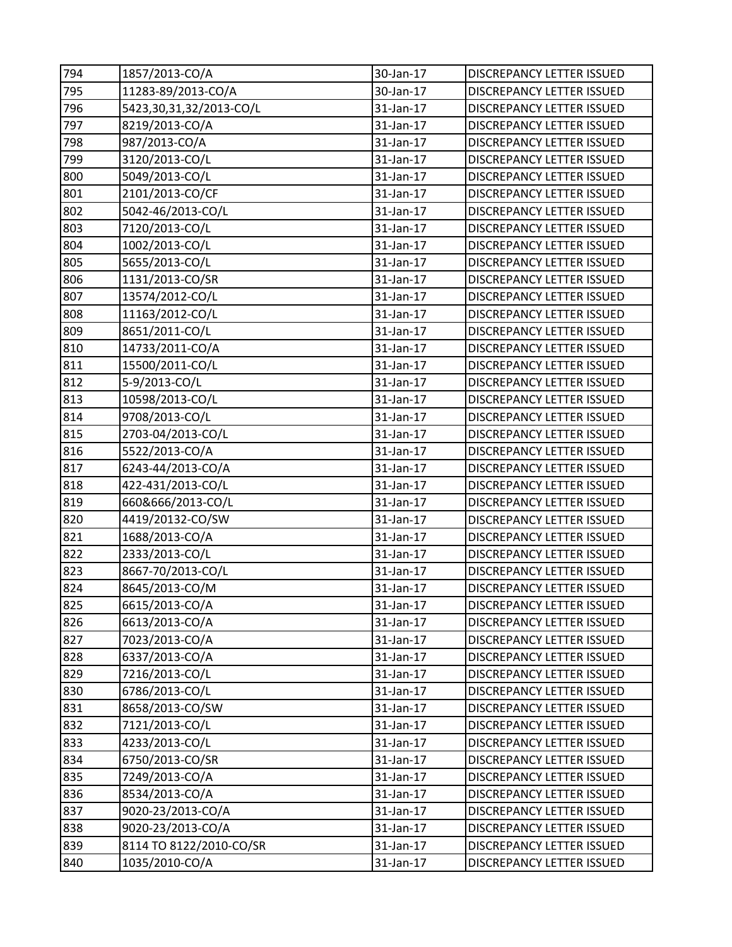| 794 | 1857/2013-CO/A          | 30-Jan-17 | DISCREPANCY LETTER ISSUED        |
|-----|-------------------------|-----------|----------------------------------|
| 795 | 11283-89/2013-CO/A      | 30-Jan-17 | <b>DISCREPANCY LETTER ISSUED</b> |
| 796 | 5423,30,31,32/2013-CO/L | 31-Jan-17 | <b>DISCREPANCY LETTER ISSUED</b> |
| 797 | 8219/2013-CO/A          | 31-Jan-17 | DISCREPANCY LETTER ISSUED        |
| 798 | 987/2013-CO/A           | 31-Jan-17 | DISCREPANCY LETTER ISSUED        |
| 799 | 3120/2013-CO/L          | 31-Jan-17 | DISCREPANCY LETTER ISSUED        |
| 800 | 5049/2013-CO/L          | 31-Jan-17 | DISCREPANCY LETTER ISSUED        |
| 801 | 2101/2013-CO/CF         | 31-Jan-17 | <b>DISCREPANCY LETTER ISSUED</b> |
| 802 | 5042-46/2013-CO/L       | 31-Jan-17 | DISCREPANCY LETTER ISSUED        |
| 803 | 7120/2013-CO/L          | 31-Jan-17 | DISCREPANCY LETTER ISSUED        |
| 804 | 1002/2013-CO/L          | 31-Jan-17 | DISCREPANCY LETTER ISSUED        |
| 805 | 5655/2013-CO/L          | 31-Jan-17 | DISCREPANCY LETTER ISSUED        |
| 806 | 1131/2013-CO/SR         | 31-Jan-17 | DISCREPANCY LETTER ISSUED        |
| 807 | 13574/2012-CO/L         | 31-Jan-17 | <b>DISCREPANCY LETTER ISSUED</b> |
| 808 | 11163/2012-CO/L         | 31-Jan-17 | DISCREPANCY LETTER ISSUED        |
| 809 | 8651/2011-CO/L          | 31-Jan-17 | DISCREPANCY LETTER ISSUED        |
| 810 | 14733/2011-CO/A         | 31-Jan-17 | DISCREPANCY LETTER ISSUED        |
| 811 | 15500/2011-CO/L         | 31-Jan-17 | DISCREPANCY LETTER ISSUED        |
| 812 | 5-9/2013-CO/L           | 31-Jan-17 | DISCREPANCY LETTER ISSUED        |
| 813 | 10598/2013-CO/L         | 31-Jan-17 | <b>DISCREPANCY LETTER ISSUED</b> |
| 814 | 9708/2013-CO/L          | 31-Jan-17 | DISCREPANCY LETTER ISSUED        |
| 815 | 2703-04/2013-CO/L       | 31-Jan-17 | DISCREPANCY LETTER ISSUED        |
| 816 | 5522/2013-CO/A          | 31-Jan-17 | DISCREPANCY LETTER ISSUED        |
| 817 | 6243-44/2013-CO/A       | 31-Jan-17 | DISCREPANCY LETTER ISSUED        |
| 818 | 422-431/2013-CO/L       | 31-Jan-17 | DISCREPANCY LETTER ISSUED        |
| 819 | 660&666/2013-CO/L       | 31-Jan-17 | <b>DISCREPANCY LETTER ISSUED</b> |
| 820 | 4419/20132-CO/SW        | 31-Jan-17 | DISCREPANCY LETTER ISSUED        |
| 821 | 1688/2013-CO/A          | 31-Jan-17 | DISCREPANCY LETTER ISSUED        |
| 822 | 2333/2013-CO/L          | 31-Jan-17 | DISCREPANCY LETTER ISSUED        |
| 823 | 8667-70/2013-CO/L       | 31-Jan-17 | DISCREPANCY LETTER ISSUED        |
| 824 | 8645/2013-CO/M          | 31-Jan-17 | <b>DISCREPANCY LETTER ISSUED</b> |
| 825 | 6615/2013-CO/A          | 31-Jan-17 | DISCREPANCY LETTER ISSUED        |
| 826 | 6613/2013-CO/A          | 31-Jan-17 | DISCREPANCY LETTER ISSUED        |
| 827 | 7023/2013-CO/A          | 31-Jan-17 | DISCREPANCY LETTER ISSUED        |
| 828 | 6337/2013-CO/A          | 31-Jan-17 | DISCREPANCY LETTER ISSUED        |
| 829 | 7216/2013-CO/L          | 31-Jan-17 | DISCREPANCY LETTER ISSUED        |
| 830 | 6786/2013-CO/L          | 31-Jan-17 | DISCREPANCY LETTER ISSUED        |
| 831 | 8658/2013-CO/SW         | 31-Jan-17 | <b>DISCREPANCY LETTER ISSUED</b> |
| 832 | 7121/2013-CO/L          | 31-Jan-17 | <b>DISCREPANCY LETTER ISSUED</b> |
| 833 | 4233/2013-CO/L          | 31-Jan-17 | DISCREPANCY LETTER ISSUED        |
| 834 | 6750/2013-CO/SR         | 31-Jan-17 | DISCREPANCY LETTER ISSUED        |
| 835 | 7249/2013-CO/A          | 31-Jan-17 | DISCREPANCY LETTER ISSUED        |
| 836 | 8534/2013-CO/A          | 31-Jan-17 | DISCREPANCY LETTER ISSUED        |
| 837 | 9020-23/2013-CO/A       | 31-Jan-17 | <b>DISCREPANCY LETTER ISSUED</b> |
| 838 | 9020-23/2013-CO/A       | 31-Jan-17 | DISCREPANCY LETTER ISSUED        |
| 839 | 8114 TO 8122/2010-CO/SR | 31-Jan-17 | DISCREPANCY LETTER ISSUED        |
| 840 | 1035/2010-CO/A          | 31-Jan-17 | DISCREPANCY LETTER ISSUED        |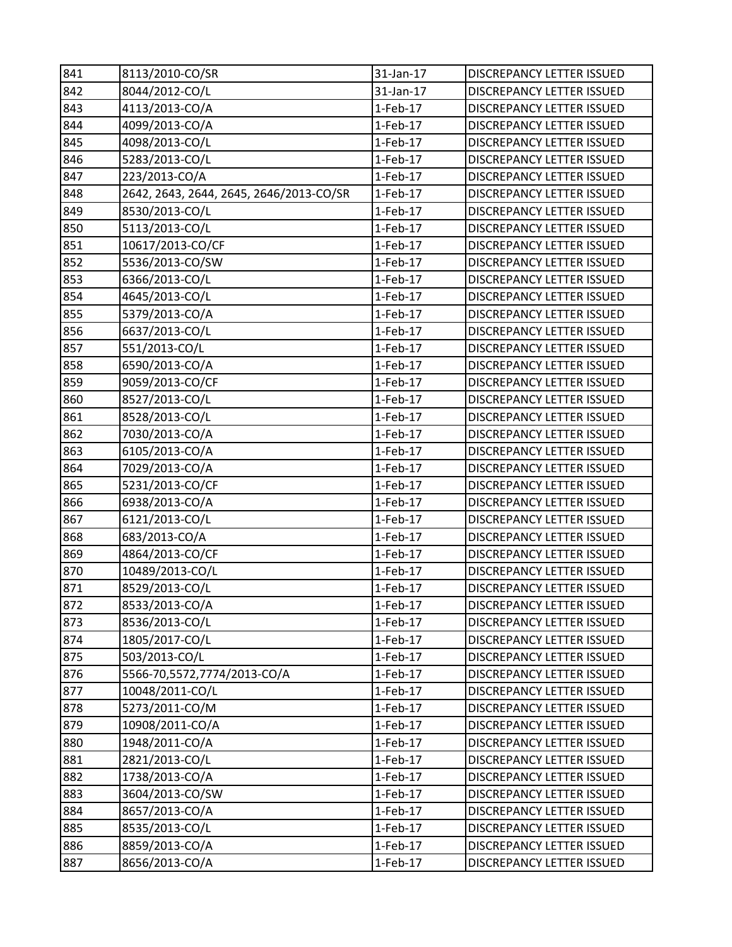| 841 | 8113/2010-CO/SR                         | 31-Jan-17  | DISCREPANCY LETTER ISSUED        |
|-----|-----------------------------------------|------------|----------------------------------|
| 842 | 8044/2012-CO/L                          | 31-Jan-17  | DISCREPANCY LETTER ISSUED        |
| 843 | 4113/2013-CO/A                          | $1-Feb-17$ | DISCREPANCY LETTER ISSUED        |
| 844 | 4099/2013-CO/A                          | $1-Feb-17$ | DISCREPANCY LETTER ISSUED        |
| 845 | 4098/2013-CO/L                          | $1-Feb-17$ | DISCREPANCY LETTER ISSUED        |
| 846 | 5283/2013-CO/L                          | $1-Feb-17$ | DISCREPANCY LETTER ISSUED        |
| 847 | 223/2013-CO/A                           | $1-Feb-17$ | DISCREPANCY LETTER ISSUED        |
| 848 | 2642, 2643, 2644, 2645, 2646/2013-CO/SR | 1-Feb-17   | DISCREPANCY LETTER ISSUED        |
| 849 | 8530/2013-CO/L                          | $1-Feb-17$ | DISCREPANCY LETTER ISSUED        |
| 850 | 5113/2013-CO/L                          | $1-Feb-17$ | DISCREPANCY LETTER ISSUED        |
| 851 | 10617/2013-CO/CF                        | $1-Feb-17$ | DISCREPANCY LETTER ISSUED        |
| 852 | 5536/2013-CO/SW                         | 1-Feb-17   | DISCREPANCY LETTER ISSUED        |
| 853 | 6366/2013-CO/L                          | $1-Feb-17$ | DISCREPANCY LETTER ISSUED        |
| 854 | 4645/2013-CO/L                          | $1-Feb-17$ | DISCREPANCY LETTER ISSUED        |
| 855 | 5379/2013-CO/A                          | $1-Feb-17$ | DISCREPANCY LETTER ISSUED        |
| 856 | 6637/2013-CO/L                          | $1-Feb-17$ | DISCREPANCY LETTER ISSUED        |
| 857 | 551/2013-CO/L                           | $1-Feb-17$ | DISCREPANCY LETTER ISSUED        |
| 858 | 6590/2013-CO/A                          | $1-Feb-17$ | DISCREPANCY LETTER ISSUED        |
| 859 | 9059/2013-CO/CF                         | $1-Feb-17$ | DISCREPANCY LETTER ISSUED        |
| 860 | 8527/2013-CO/L                          | $1-Feb-17$ | DISCREPANCY LETTER ISSUED        |
| 861 | 8528/2013-CO/L                          | $1-Feb-17$ | DISCREPANCY LETTER ISSUED        |
| 862 | 7030/2013-CO/A                          | $1-Feb-17$ | DISCREPANCY LETTER ISSUED        |
| 863 | 6105/2013-CO/A                          | $1-Feb-17$ | DISCREPANCY LETTER ISSUED        |
| 864 | 7029/2013-CO/A                          | $1-Feb-17$ | DISCREPANCY LETTER ISSUED        |
| 865 | 5231/2013-CO/CF                         | $1-Feb-17$ | DISCREPANCY LETTER ISSUED        |
| 866 | 6938/2013-CO/A                          | $1-Feb-17$ | DISCREPANCY LETTER ISSUED        |
| 867 | 6121/2013-CO/L                          | $1-Feb-17$ | <b>DISCREPANCY LETTER ISSUED</b> |
| 868 | 683/2013-CO/A                           | $1-Feb-17$ | DISCREPANCY LETTER ISSUED        |
| 869 | 4864/2013-CO/CF                         | $1-Feb-17$ | DISCREPANCY LETTER ISSUED        |
| 870 | 10489/2013-CO/L                         | $1-Feb-17$ | DISCREPANCY LETTER ISSUED        |
| 871 | 8529/2013-CO/L                          | 1-Feb-17   | DISCREPANCY LETTER ISSUED        |
| 872 | 8533/2013-CO/A                          | $1-Feb-17$ | DISCREPANCY LETTER ISSUED        |
| 873 | 8536/2013-CO/L                          | $1-Feb-17$ | DISCREPANCY LETTER ISSUED        |
| 874 | 1805/2017-CO/L                          | $1-Feb-17$ | DISCREPANCY LETTER ISSUED        |
| 875 | 503/2013-CO/L                           | 1-Feb-17   | DISCREPANCY LETTER ISSUED        |
| 876 | 5566-70,5572,7774/2013-CO/A             | $1-Feb-17$ | DISCREPANCY LETTER ISSUED        |
| 877 | 10048/2011-CO/L                         | $1-Feb-17$ | DISCREPANCY LETTER ISSUED        |
| 878 | 5273/2011-CO/M                          | 1-Feb-17   | DISCREPANCY LETTER ISSUED        |
| 879 | 10908/2011-CO/A                         | $1-Feb-17$ | DISCREPANCY LETTER ISSUED        |
| 880 | 1948/2011-CO/A                          | $1-Feb-17$ | DISCREPANCY LETTER ISSUED        |
| 881 | 2821/2013-CO/L                          | 1-Feb-17   | DISCREPANCY LETTER ISSUED        |
| 882 | 1738/2013-CO/A                          | $1-Feb-17$ | DISCREPANCY LETTER ISSUED        |
| 883 | 3604/2013-CO/SW                         | 1-Feb-17   | DISCREPANCY LETTER ISSUED        |
| 884 | 8657/2013-CO/A                          | $1-Feb-17$ | DISCREPANCY LETTER ISSUED        |
| 885 | 8535/2013-CO/L                          | $1-Feb-17$ | DISCREPANCY LETTER ISSUED        |
| 886 | 8859/2013-CO/A                          | $1-Feb-17$ | DISCREPANCY LETTER ISSUED        |
| 887 | 8656/2013-CO/A                          | $1-Feb-17$ | DISCREPANCY LETTER ISSUED        |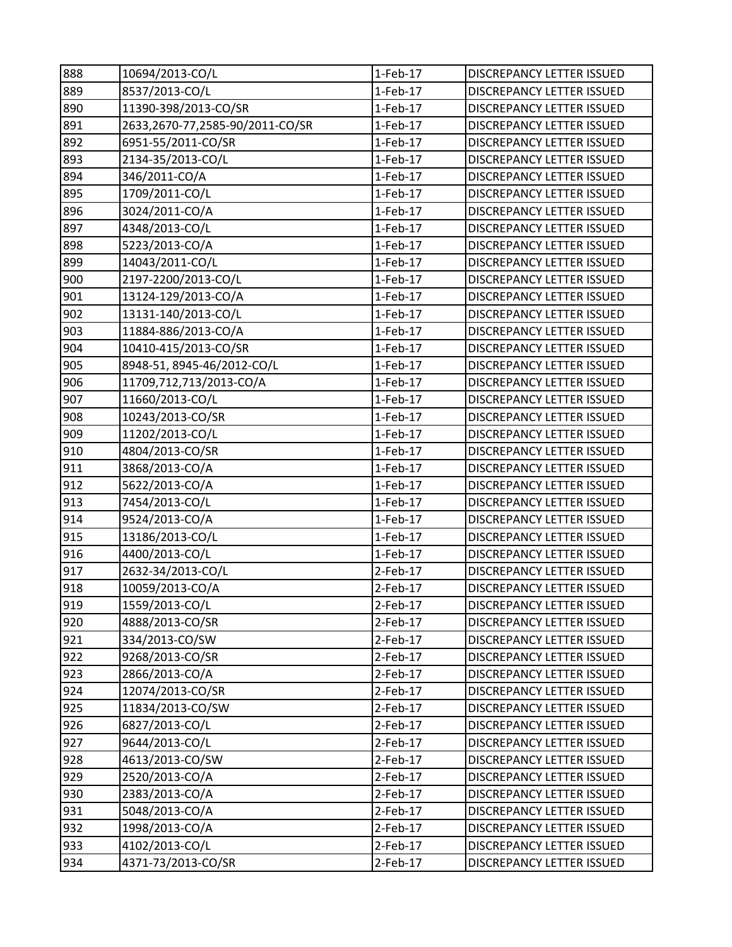| 888 | 10694/2013-CO/L                 | $1-Feb-17$  | DISCREPANCY LETTER ISSUED        |
|-----|---------------------------------|-------------|----------------------------------|
| 889 | 8537/2013-CO/L                  | $1-Feb-17$  | DISCREPANCY LETTER ISSUED        |
| 890 | 11390-398/2013-CO/SR            | $1-Feb-17$  | DISCREPANCY LETTER ISSUED        |
| 891 | 2633,2670-77,2585-90/2011-CO/SR | $1-Feb-17$  | DISCREPANCY LETTER ISSUED        |
| 892 | 6951-55/2011-CO/SR              | $1-Feb-17$  | DISCREPANCY LETTER ISSUED        |
| 893 | 2134-35/2013-CO/L               | $1-Feb-17$  | DISCREPANCY LETTER ISSUED        |
| 894 | 346/2011-CO/A                   | $1-Feb-17$  | DISCREPANCY LETTER ISSUED        |
| 895 | 1709/2011-CO/L                  | $1-Feb-17$  | DISCREPANCY LETTER ISSUED        |
| 896 | 3024/2011-CO/A                  | 1-Feb-17    | DISCREPANCY LETTER ISSUED        |
| 897 | 4348/2013-CO/L                  | $1-Feb-17$  | DISCREPANCY LETTER ISSUED        |
| 898 | 5223/2013-CO/A                  | $1-Feb-17$  | DISCREPANCY LETTER ISSUED        |
| 899 | 14043/2011-CO/L                 | 1-Feb-17    | DISCREPANCY LETTER ISSUED        |
| 900 | 2197-2200/2013-CO/L             | $1-Feb-17$  | DISCREPANCY LETTER ISSUED        |
| 901 | 13124-129/2013-CO/A             | $1-Feb-17$  | DISCREPANCY LETTER ISSUED        |
| 902 | 13131-140/2013-CO/L             | $1-Feb-17$  | <b>DISCREPANCY LETTER ISSUED</b> |
| 903 | 11884-886/2013-CO/A             | $1-Feb-17$  | DISCREPANCY LETTER ISSUED        |
| 904 | 10410-415/2013-CO/SR            | $1-Feb-17$  | DISCREPANCY LETTER ISSUED        |
| 905 | 8948-51, 8945-46/2012-CO/L      | $1-Feb-17$  | DISCREPANCY LETTER ISSUED        |
| 906 | 11709,712,713/2013-CO/A         | 1-Feb-17    | DISCREPANCY LETTER ISSUED        |
| 907 | 11660/2013-CO/L                 | $1-Feb-17$  | DISCREPANCY LETTER ISSUED        |
| 908 | 10243/2013-CO/SR                | $1-Feb-17$  | DISCREPANCY LETTER ISSUED        |
| 909 | 11202/2013-CO/L                 | $1-Feb-17$  | DISCREPANCY LETTER ISSUED        |
| 910 | 4804/2013-CO/SR                 | $1-Feb-17$  | DISCREPANCY LETTER ISSUED        |
| 911 | 3868/2013-CO/A                  | $1-Feb-17$  | DISCREPANCY LETTER ISSUED        |
| 912 | 5622/2013-CO/A                  | $1-Feb-17$  | DISCREPANCY LETTER ISSUED        |
| 913 | 7454/2013-CO/L                  | $1-Feb-17$  | DISCREPANCY LETTER ISSUED        |
| 914 | 9524/2013-CO/A                  | $1-Feb-17$  | DISCREPANCY LETTER ISSUED        |
| 915 | 13186/2013-CO/L                 | 1-Feb-17    | DISCREPANCY LETTER ISSUED        |
| 916 | 4400/2013-CO/L                  | $1-Feb-17$  | DISCREPANCY LETTER ISSUED        |
| 917 | 2632-34/2013-CO/L               | $2$ -Feb-17 | DISCREPANCY LETTER ISSUED        |
| 918 | 10059/2013-CO/A                 | $2$ -Feb-17 | DISCREPANCY LETTER ISSUED        |
| 919 | 1559/2013-CO/L                  | $2$ -Feb-17 | DISCREPANCY LETTER ISSUED        |
| 920 | 4888/2013-CO/SR                 | 2-Feb-17    | DISCREPANCY LETTER ISSUED        |
| 921 | 334/2013-CO/SW                  | $2-Feb-17$  | DISCREPANCY LETTER ISSUED        |
| 922 | 9268/2013-CO/SR                 | 2-Feb-17    | DISCREPANCY LETTER ISSUED        |
| 923 | 2866/2013-CO/A                  | $2$ -Feb-17 | DISCREPANCY LETTER ISSUED        |
| 924 | 12074/2013-CO/SR                | 2-Feb-17    | DISCREPANCY LETTER ISSUED        |
| 925 | 11834/2013-CO/SW                | $2$ -Feb-17 | DISCREPANCY LETTER ISSUED        |
| 926 | 6827/2013-CO/L                  | $2$ -Feb-17 | DISCREPANCY LETTER ISSUED        |
| 927 | 9644/2013-CO/L                  | $2$ -Feb-17 | DISCREPANCY LETTER ISSUED        |
| 928 | 4613/2013-CO/SW                 | 2-Feb-17    | DISCREPANCY LETTER ISSUED        |
| 929 | 2520/2013-CO/A                  | 2-Feb-17    | DISCREPANCY LETTER ISSUED        |
| 930 | 2383/2013-CO/A                  | 2-Feb-17    | DISCREPANCY LETTER ISSUED        |
| 931 | 5048/2013-CO/A                  | $2-Feb-17$  | DISCREPANCY LETTER ISSUED        |
| 932 | 1998/2013-CO/A                  | $2-Feb-17$  | DISCREPANCY LETTER ISSUED        |
| 933 | 4102/2013-CO/L                  | 2-Feb-17    | DISCREPANCY LETTER ISSUED        |
| 934 | 4371-73/2013-CO/SR              | $2$ -Feb-17 | DISCREPANCY LETTER ISSUED        |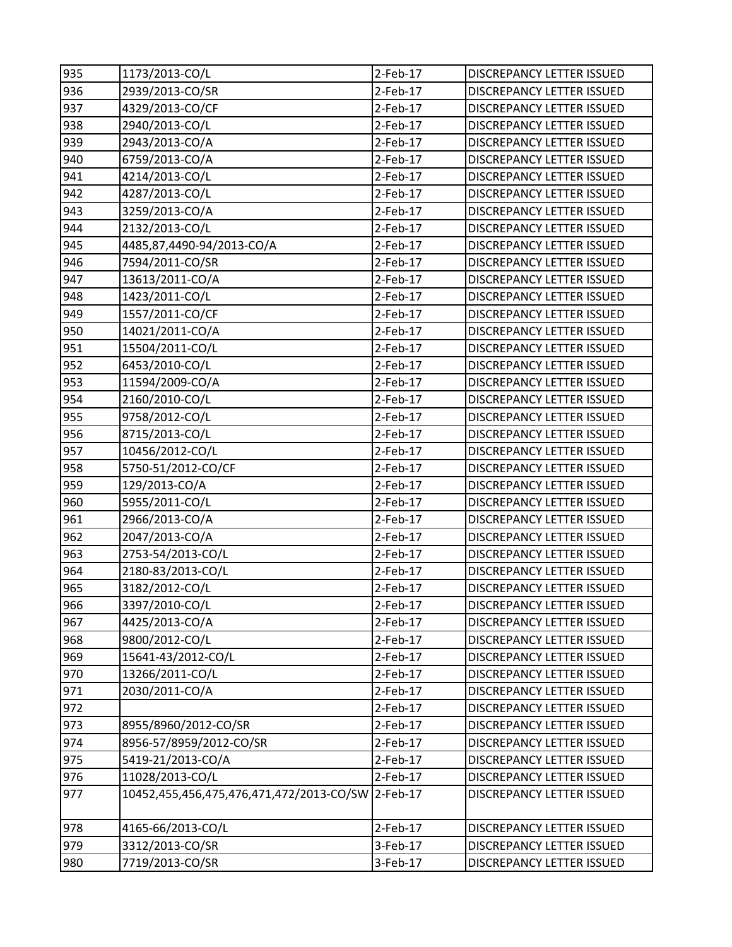| 935 | 1173/2013-CO/L                           | 2-Feb-17    | <b>DISCREPANCY LETTER ISSUED</b> |
|-----|------------------------------------------|-------------|----------------------------------|
| 936 | 2939/2013-CO/SR                          | 2-Feb-17    | <b>DISCREPANCY LETTER ISSUED</b> |
| 937 | 4329/2013-CO/CF                          | $2-Feb-17$  | <b>DISCREPANCY LETTER ISSUED</b> |
| 938 | 2940/2013-CO/L                           | $2-Feb-17$  | DISCREPANCY LETTER ISSUED        |
| 939 | 2943/2013-CO/A                           | $2-Feb-17$  | DISCREPANCY LETTER ISSUED        |
| 940 | 6759/2013-CO/A                           | $2-Feb-17$  | DISCREPANCY LETTER ISSUED        |
| 941 | 4214/2013-CO/L                           | 2-Feb-17    | DISCREPANCY LETTER ISSUED        |
| 942 | 4287/2013-CO/L                           | 2-Feb-17    | DISCREPANCY LETTER ISSUED        |
| 943 | 3259/2013-CO/A                           | $2$ -Feb-17 | DISCREPANCY LETTER ISSUED        |
| 944 | 2132/2013-CO/L                           | $2-Feb-17$  | DISCREPANCY LETTER ISSUED        |
| 945 | 4485,87,4490-94/2013-CO/A                | $2-Feb-17$  | <b>DISCREPANCY LETTER ISSUED</b> |
| 946 | 7594/2011-CO/SR                          | 2-Feb-17    | DISCREPANCY LETTER ISSUED        |
| 947 | 13613/2011-CO/A                          | 2-Feb-17    | DISCREPANCY LETTER ISSUED        |
| 948 | 1423/2011-CO/L                           | $2$ -Feb-17 | DISCREPANCY LETTER ISSUED        |
| 949 | 1557/2011-CO/CF                          | $2-Feb-17$  | DISCREPANCY LETTER ISSUED        |
| 950 | 14021/2011-CO/A                          | $2-Feb-17$  | <b>DISCREPANCY LETTER ISSUED</b> |
| 951 | 15504/2011-CO/L                          | 2-Feb-17    | DISCREPANCY LETTER ISSUED        |
| 952 | 6453/2010-CO/L                           | $2-Feb-17$  | DISCREPANCY LETTER ISSUED        |
| 953 | 11594/2009-CO/A                          | $2$ -Feb-17 | DISCREPANCY LETTER ISSUED        |
| 954 | 2160/2010-CO/L                           | $2$ -Feb-17 | DISCREPANCY LETTER ISSUED        |
| 955 | 9758/2012-CO/L                           | $2$ -Feb-17 | <b>DISCREPANCY LETTER ISSUED</b> |
| 956 | 8715/2013-CO/L                           | 2-Feb-17    | DISCREPANCY LETTER ISSUED        |
| 957 | 10456/2012-CO/L                          | $2-Feb-17$  | DISCREPANCY LETTER ISSUED        |
| 958 | 5750-51/2012-CO/CF                       | 2-Feb-17    | DISCREPANCY LETTER ISSUED        |
| 959 | 129/2013-CO/A                            | 2-Feb-17    | DISCREPANCY LETTER ISSUED        |
| 960 | 5955/2011-CO/L                           | $2-Feb-17$  | DISCREPANCY LETTER ISSUED        |
| 961 | 2966/2013-CO/A                           | 2-Feb-17    | DISCREPANCY LETTER ISSUED        |
| 962 | 2047/2013-CO/A                           | $2-Feb-17$  | DISCREPANCY LETTER ISSUED        |
| 963 | 2753-54/2013-CO/L                        | 2-Feb-17    | DISCREPANCY LETTER ISSUED        |
| 964 | 2180-83/2013-CO/L                        | 2-Feb-17    | <b>DISCREPANCY LETTER ISSUED</b> |
| 965 | 3182/2012-CO/L                           | $2$ -Feb-17 | <b>DISCREPANCY LETTER ISSUED</b> |
| 966 | 3397/2010-CO/L                           | $2-Feb-17$  | <b>DISCREPANCY LETTER ISSUED</b> |
| 967 | 4425/2013-CO/A                           | 2-Feb-17    | <b>DISCREPANCY LETTER ISSUED</b> |
| 968 | 9800/2012-CO/L                           | 2-Feb-17    | DISCREPANCY LETTER ISSUED        |
| 969 | 15641-43/2012-CO/L                       | 2-Feb-17    | <b>DISCREPANCY LETTER ISSUED</b> |
| 970 | 13266/2011-CO/L                          | 2-Feb-17    | <b>DISCREPANCY LETTER ISSUED</b> |
| 971 | 2030/2011-CO/A                           | 2-Feb-17    | DISCREPANCY LETTER ISSUED        |
| 972 |                                          | $2-Feb-17$  | DISCREPANCY LETTER ISSUED        |
| 973 | 8955/8960/2012-CO/SR                     | $2$ -Feb-17 | <b>DISCREPANCY LETTER ISSUED</b> |
| 974 | 8956-57/8959/2012-CO/SR                  | 2-Feb-17    | <b>DISCREPANCY LETTER ISSUED</b> |
| 975 | 5419-21/2013-CO/A                        | $2-Feb-17$  | DISCREPANCY LETTER ISSUED        |
| 976 | 11028/2013-CO/L                          | 2-Feb-17    | DISCREPANCY LETTER ISSUED        |
| 977 | 10452,455,456,475,476,471,472/2013-CO/SW | $2$ -Feb-17 | DISCREPANCY LETTER ISSUED        |
| 978 | 4165-66/2013-CO/L                        | 2-Feb-17    | <b>DISCREPANCY LETTER ISSUED</b> |
| 979 | 3312/2013-CO/SR                          | 3-Feb-17    | DISCREPANCY LETTER ISSUED        |
| 980 | 7719/2013-CO/SR                          | 3-Feb-17    | DISCREPANCY LETTER ISSUED        |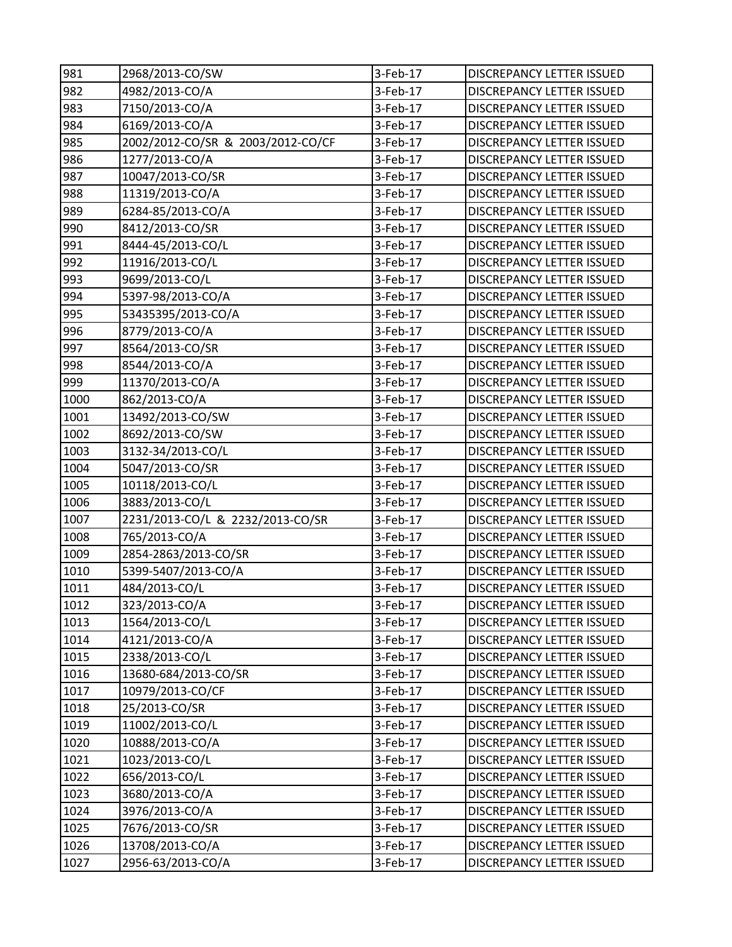| 981  | 2968/2013-CO/SW                   | 3-Feb-17 | DISCREPANCY LETTER ISSUED        |
|------|-----------------------------------|----------|----------------------------------|
| 982  | 4982/2013-CO/A                    | 3-Feb-17 | DISCREPANCY LETTER ISSUED        |
| 983  | 7150/2013-CO/A                    | 3-Feb-17 | DISCREPANCY LETTER ISSUED        |
| 984  | 6169/2013-CO/A                    | 3-Feb-17 | DISCREPANCY LETTER ISSUED        |
| 985  | 2002/2012-CO/SR & 2003/2012-CO/CF | 3-Feb-17 | <b>DISCREPANCY LETTER ISSUED</b> |
| 986  | 1277/2013-CO/A                    | 3-Feb-17 | DISCREPANCY LETTER ISSUED        |
| 987  | 10047/2013-CO/SR                  | 3-Feb-17 | DISCREPANCY LETTER ISSUED        |
| 988  | 11319/2013-CO/A                   | 3-Feb-17 | DISCREPANCY LETTER ISSUED        |
| 989  | 6284-85/2013-CO/A                 | 3-Feb-17 | DISCREPANCY LETTER ISSUED        |
| 990  | 8412/2013-CO/SR                   | 3-Feb-17 | DISCREPANCY LETTER ISSUED        |
| 991  | 8444-45/2013-CO/L                 | 3-Feb-17 | DISCREPANCY LETTER ISSUED        |
| 992  | 11916/2013-CO/L                   | 3-Feb-17 | DISCREPANCY LETTER ISSUED        |
| 993  | 9699/2013-CO/L                    | 3-Feb-17 | DISCREPANCY LETTER ISSUED        |
| 994  | 5397-98/2013-CO/A                 | 3-Feb-17 | DISCREPANCY LETTER ISSUED        |
| 995  | 53435395/2013-CO/A                | 3-Feb-17 | DISCREPANCY LETTER ISSUED        |
| 996  | 8779/2013-CO/A                    | 3-Feb-17 | DISCREPANCY LETTER ISSUED        |
| 997  | 8564/2013-CO/SR                   | 3-Feb-17 | DISCREPANCY LETTER ISSUED        |
| 998  | 8544/2013-CO/A                    | 3-Feb-17 | DISCREPANCY LETTER ISSUED        |
| 999  | 11370/2013-CO/A                   | 3-Feb-17 | DISCREPANCY LETTER ISSUED        |
| 1000 | 862/2013-CO/A                     | 3-Feb-17 | DISCREPANCY LETTER ISSUED        |
| 1001 | 13492/2013-CO/SW                  | 3-Feb-17 | DISCREPANCY LETTER ISSUED        |
| 1002 | 8692/2013-CO/SW                   | 3-Feb-17 | DISCREPANCY LETTER ISSUED        |
| 1003 | 3132-34/2013-CO/L                 | 3-Feb-17 | <b>DISCREPANCY LETTER ISSUED</b> |
| 1004 | 5047/2013-CO/SR                   | 3-Feb-17 | DISCREPANCY LETTER ISSUED        |
| 1005 | 10118/2013-CO/L                   | 3-Feb-17 | DISCREPANCY LETTER ISSUED        |
| 1006 | 3883/2013-CO/L                    | 3-Feb-17 | DISCREPANCY LETTER ISSUED        |
| 1007 | 2231/2013-CO/L & 2232/2013-CO/SR  | 3-Feb-17 | DISCREPANCY LETTER ISSUED        |
| 1008 | 765/2013-CO/A                     | 3-Feb-17 | DISCREPANCY LETTER ISSUED        |
| 1009 | 2854-2863/2013-CO/SR              | 3-Feb-17 | DISCREPANCY LETTER ISSUED        |
| 1010 | 5399-5407/2013-CO/A               | 3-Feb-17 | DISCREPANCY LETTER ISSUED        |
| 1011 | 484/2013-CO/L                     | 3-Feb-17 | <b>DISCREPANCY LETTER ISSUED</b> |
| 1012 | 323/2013-CO/A                     | 3-Feb-17 | DISCREPANCY LETTER ISSUED        |
| 1013 | 1564/2013-CO/L                    | 3-Feb-17 | DISCREPANCY LETTER ISSUED        |
| 1014 | 4121/2013-CO/A                    | 3-Feb-17 | DISCREPANCY LETTER ISSUED        |
| 1015 | 2338/2013-CO/L                    | 3-Feb-17 | DISCREPANCY LETTER ISSUED        |
| 1016 | 13680-684/2013-CO/SR              | 3-Feb-17 | DISCREPANCY LETTER ISSUED        |
| 1017 | 10979/2013-CO/CF                  | 3-Feb-17 | DISCREPANCY LETTER ISSUED        |
| 1018 | 25/2013-CO/SR                     | 3-Feb-17 | DISCREPANCY LETTER ISSUED        |
| 1019 | 11002/2013-CO/L                   | 3-Feb-17 | DISCREPANCY LETTER ISSUED        |
| 1020 | 10888/2013-CO/A                   | 3-Feb-17 | DISCREPANCY LETTER ISSUED        |
| 1021 | 1023/2013-CO/L                    | 3-Feb-17 | DISCREPANCY LETTER ISSUED        |
| 1022 | 656/2013-CO/L                     | 3-Feb-17 | DISCREPANCY LETTER ISSUED        |
| 1023 | 3680/2013-CO/A                    | 3-Feb-17 | DISCREPANCY LETTER ISSUED        |
| 1024 | 3976/2013-CO/A                    | 3-Feb-17 | <b>DISCREPANCY LETTER ISSUED</b> |
| 1025 | 7676/2013-CO/SR                   | 3-Feb-17 | DISCREPANCY LETTER ISSUED        |
| 1026 | 13708/2013-CO/A                   | 3-Feb-17 | DISCREPANCY LETTER ISSUED        |
| 1027 | 2956-63/2013-CO/A                 | 3-Feb-17 | DISCREPANCY LETTER ISSUED        |